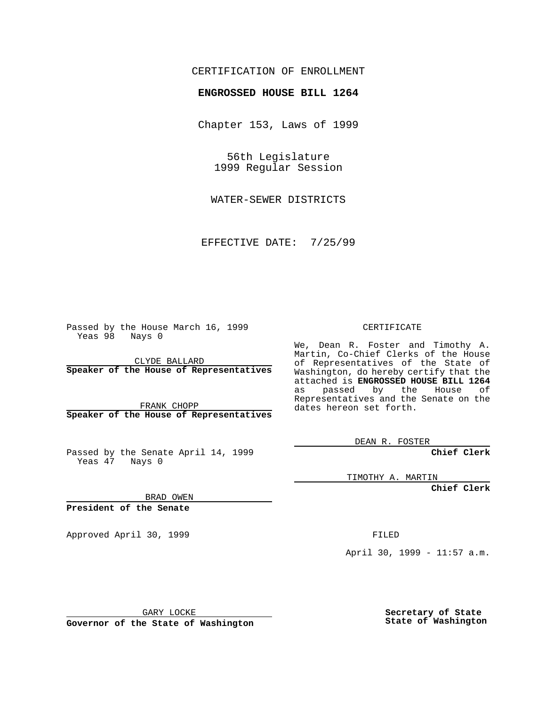### CERTIFICATION OF ENROLLMENT

# **ENGROSSED HOUSE BILL 1264**

Chapter 153, Laws of 1999

56th Legislature 1999 Regular Session

WATER-SEWER DISTRICTS

EFFECTIVE DATE: 7/25/99

Passed by the House March 16, 1999 Yeas 98 Nays 0

CLYDE BALLARD **Speaker of the House of Representatives**

FRANK CHOPP **Speaker of the House of Representatives**

Passed by the Senate April 14, 1999 Yeas 47 Nays 0

CERTIFICATE

We, Dean R. Foster and Timothy A. Martin, Co-Chief Clerks of the House of Representatives of the State of Washington, do hereby certify that the attached is **ENGROSSED HOUSE BILL 1264** as passed by the House of Representatives and the Senate on the dates hereon set forth.

DEAN R. FOSTER

**Chief Clerk**

TIMOTHY A. MARTIN

**Chief Clerk**

BRAD OWEN

**President of the Senate**

Approved April 30, 1999 FILED

April 30, 1999 - 11:57 a.m.

GARY LOCKE

**Governor of the State of Washington**

**Secretary of State State of Washington**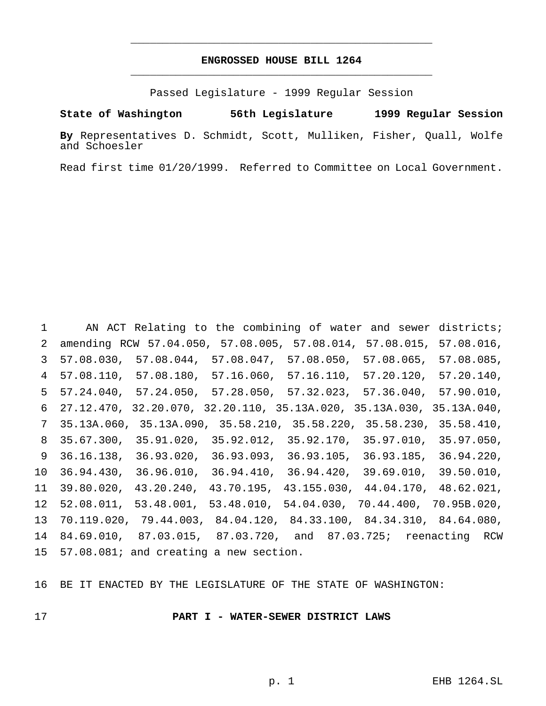## **ENGROSSED HOUSE BILL 1264** \_\_\_\_\_\_\_\_\_\_\_\_\_\_\_\_\_\_\_\_\_\_\_\_\_\_\_\_\_\_\_\_\_\_\_\_\_\_\_\_\_\_\_\_\_\_\_

\_\_\_\_\_\_\_\_\_\_\_\_\_\_\_\_\_\_\_\_\_\_\_\_\_\_\_\_\_\_\_\_\_\_\_\_\_\_\_\_\_\_\_\_\_\_\_

Passed Legislature - 1999 Regular Session

**State of Washington 56th Legislature 1999 Regular Session**

**By** Representatives D. Schmidt, Scott, Mulliken, Fisher, Quall, Wolfe and Schoesler

Read first time 01/20/1999. Referred to Committee on Local Government.

 AN ACT Relating to the combining of water and sewer districts; amending RCW 57.04.050, 57.08.005, 57.08.014, 57.08.015, 57.08.016, 57.08.030, 57.08.044, 57.08.047, 57.08.050, 57.08.065, 57.08.085, 57.08.110, 57.08.180, 57.16.060, 57.16.110, 57.20.120, 57.20.140, 57.24.040, 57.24.050, 57.28.050, 57.32.023, 57.36.040, 57.90.010, 27.12.470, 32.20.070, 32.20.110, 35.13A.020, 35.13A.030, 35.13A.040, 35.13A.060, 35.13A.090, 35.58.210, 35.58.220, 35.58.230, 35.58.410, 35.67.300, 35.91.020, 35.92.012, 35.92.170, 35.97.010, 35.97.050, 36.16.138, 36.93.020, 36.93.093, 36.93.105, 36.93.185, 36.94.220, 36.94.430, 36.96.010, 36.94.410, 36.94.420, 39.69.010, 39.50.010, 39.80.020, 43.20.240, 43.70.195, 43.155.030, 44.04.170, 48.62.021, 52.08.011, 53.48.001, 53.48.010, 54.04.030, 70.44.400, 70.95B.020, 70.119.020, 79.44.003, 84.04.120, 84.33.100, 84.34.310, 84.64.080, 84.69.010, 87.03.015, 87.03.720, and 87.03.725; reenacting RCW 57.08.081; and creating a new section.

BE IT ENACTED BY THE LEGISLATURE OF THE STATE OF WASHINGTON:

#### **PART I - WATER-SEWER DISTRICT LAWS**

p. 1 EHB 1264.SL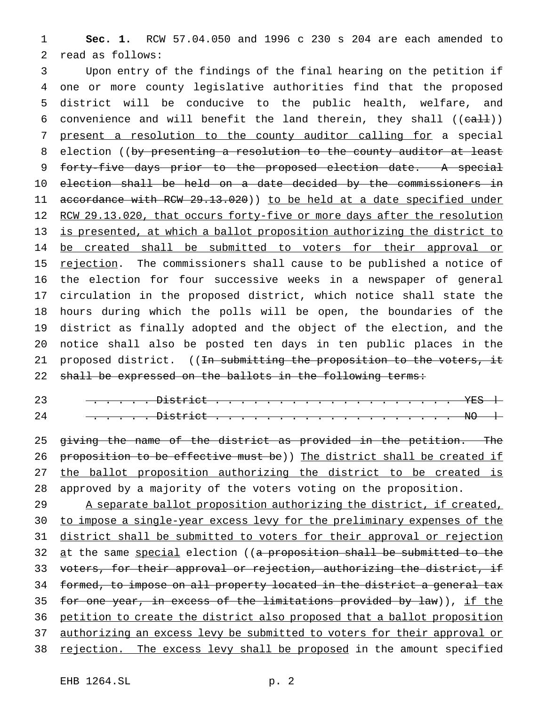1 **Sec. 1.** RCW 57.04.050 and 1996 c 230 s 204 are each amended to 2 read as follows:

3 Upon entry of the findings of the final hearing on the petition if 4 one or more county legislative authorities find that the proposed 5 district will be conducive to the public health, welfare, and 6 convenience and will benefit the land therein, they shall  $((e<sub>alt</sub>))$ 7 present a resolution to the county auditor calling for a special 8 election ((by presenting a resolution to the county auditor at least 9 forty-five days prior to the proposed election date. A special 10 election shall be held on a date decided by the commissioners in 11 accordance with RCW 29.13.020)) to be held at a date specified under 12 RCW 29.13.020, that occurs forty-five or more days after the resolution 13 is presented, at which a ballot proposition authorizing the district to 14 be created shall be submitted to voters for their approval or 15 rejection. The commissioners shall cause to be published a notice of 16 the election for four successive weeks in a newspaper of general 17 circulation in the proposed district, which notice shall state the 18 hours during which the polls will be open, the boundaries of the 19 district as finally adopted and the object of the election, and the 20 notice shall also be posted ten days in ten public places in the 21 proposed district. ((<del>In submitting the proposition to the voters, it</del> 22 shall be expressed on the ballots in the following terms:

23 ..<del>.... District ......................</del>  $24$  <del>..... District ......................</del> No  $\hbox{\large\bf +}$ 

25 giving the name of the district as provided in the petition. The 26 proposition to be effective must be)) The district shall be created if 27 the ballot proposition authorizing the district to be created is 28 approved by a majority of the voters voting on the proposition.

29 A separate ballot proposition authorizing the district, if created, 30 to impose a single-year excess levy for the preliminary expenses of the 31 district shall be submitted to voters for their approval or rejection 32 at the same special election ((a proposition shall be submitted to the 33 voters, for their approval or rejection, authorizing the district, if 34 formed, to impose on all property located in the district a general tax 35 for one year, in excess of the limitations provided by law)), if the 36 petition to create the district also proposed that a ballot proposition 37 authorizing an excess levy be submitted to voters for their approval or 38 rejection. The excess levy shall be proposed in the amount specified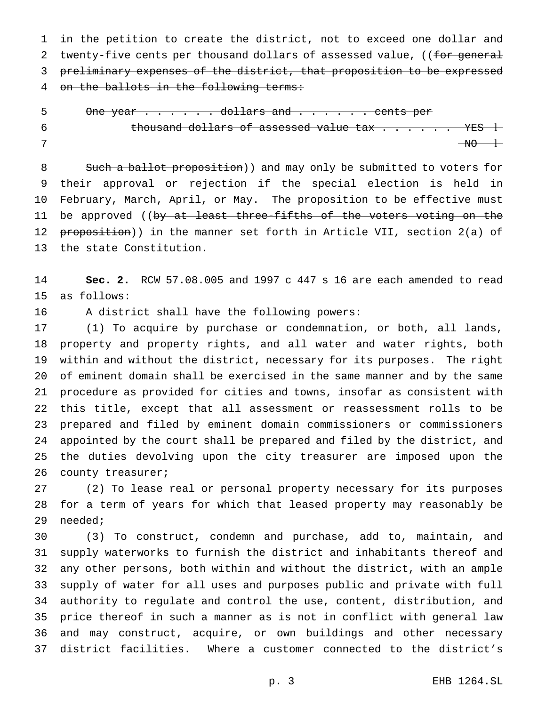in the petition to create the district, not to exceed one dollar and 2 twenty-five cents per thousand dollars of assessed value, ((for general 3 preliminary expenses of the district, that proposition to be expressed on the ballots in the following terms:

5 One year . . . . . dollars and . . . . . cents per 6 thousand dollars of assessed value  $\text{tax } \ldots \ldots \text{YES } +$ NO l

8 Such a ballot proposition)) and may only be submitted to voters for their approval or rejection if the special election is held in February, March, April, or May. The proposition to be effective must 11 be approved ((by at least three-fifths of the voters voting on the 12 proposition)) in the manner set forth in Article VII, section 2(a) of the state Constitution.

 **Sec. 2.** RCW 57.08.005 and 1997 c 447 s 16 are each amended to read as follows:

A district shall have the following powers:

 (1) To acquire by purchase or condemnation, or both, all lands, property and property rights, and all water and water rights, both within and without the district, necessary for its purposes. The right of eminent domain shall be exercised in the same manner and by the same procedure as provided for cities and towns, insofar as consistent with this title, except that all assessment or reassessment rolls to be prepared and filed by eminent domain commissioners or commissioners appointed by the court shall be prepared and filed by the district, and the duties devolving upon the city treasurer are imposed upon the 26 county treasurer;

 (2) To lease real or personal property necessary for its purposes for a term of years for which that leased property may reasonably be needed;

 (3) To construct, condemn and purchase, add to, maintain, and supply waterworks to furnish the district and inhabitants thereof and any other persons, both within and without the district, with an ample supply of water for all uses and purposes public and private with full authority to regulate and control the use, content, distribution, and price thereof in such a manner as is not in conflict with general law and may construct, acquire, or own buildings and other necessary district facilities. Where a customer connected to the district's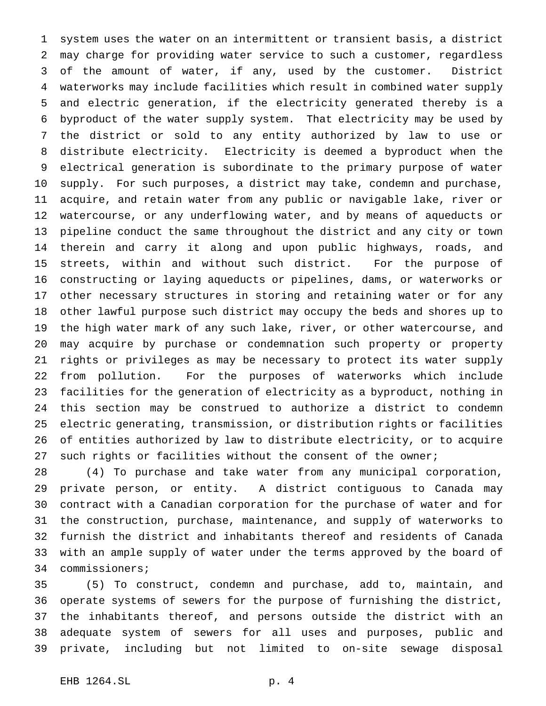system uses the water on an intermittent or transient basis, a district may charge for providing water service to such a customer, regardless of the amount of water, if any, used by the customer. District waterworks may include facilities which result in combined water supply and electric generation, if the electricity generated thereby is a byproduct of the water supply system. That electricity may be used by the district or sold to any entity authorized by law to use or distribute electricity. Electricity is deemed a byproduct when the electrical generation is subordinate to the primary purpose of water supply. For such purposes, a district may take, condemn and purchase, acquire, and retain water from any public or navigable lake, river or watercourse, or any underflowing water, and by means of aqueducts or pipeline conduct the same throughout the district and any city or town therein and carry it along and upon public highways, roads, and streets, within and without such district. For the purpose of constructing or laying aqueducts or pipelines, dams, or waterworks or other necessary structures in storing and retaining water or for any other lawful purpose such district may occupy the beds and shores up to the high water mark of any such lake, river, or other watercourse, and may acquire by purchase or condemnation such property or property rights or privileges as may be necessary to protect its water supply from pollution. For the purposes of waterworks which include facilities for the generation of electricity as a byproduct, nothing in this section may be construed to authorize a district to condemn electric generating, transmission, or distribution rights or facilities of entities authorized by law to distribute electricity, or to acquire such rights or facilities without the consent of the owner;

 (4) To purchase and take water from any municipal corporation, private person, or entity. A district contiguous to Canada may contract with a Canadian corporation for the purchase of water and for the construction, purchase, maintenance, and supply of waterworks to furnish the district and inhabitants thereof and residents of Canada with an ample supply of water under the terms approved by the board of commissioners;

 (5) To construct, condemn and purchase, add to, maintain, and operate systems of sewers for the purpose of furnishing the district, the inhabitants thereof, and persons outside the district with an adequate system of sewers for all uses and purposes, public and private, including but not limited to on-site sewage disposal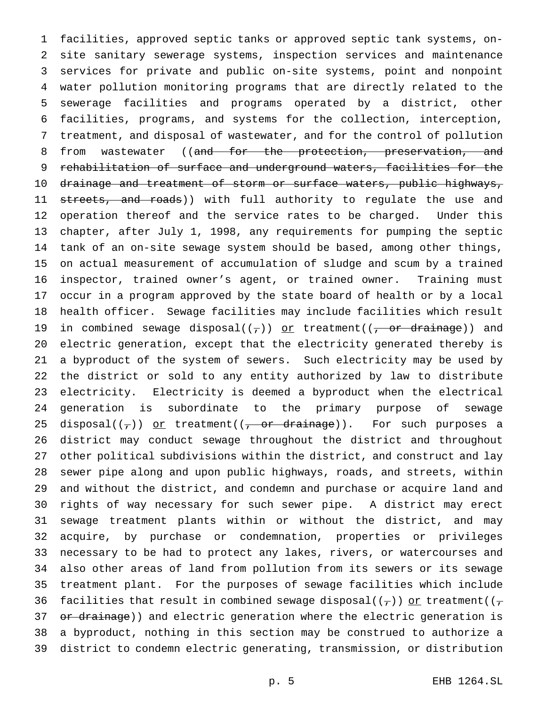facilities, approved septic tanks or approved septic tank systems, on- site sanitary sewerage systems, inspection services and maintenance services for private and public on-site systems, point and nonpoint water pollution monitoring programs that are directly related to the sewerage facilities and programs operated by a district, other facilities, programs, and systems for the collection, interception, treatment, and disposal of wastewater, and for the control of pollution 8 from wastewater ((and for the protection, preservation, and rehabilitation of surface and underground waters, facilities for the 10 drainage and treatment of storm or surface waters, public highways, 11 streets, and roads)) with full authority to regulate the use and operation thereof and the service rates to be charged. Under this chapter, after July 1, 1998, any requirements for pumping the septic tank of an on-site sewage system should be based, among other things, on actual measurement of accumulation of sludge and scum by a trained inspector, trained owner's agent, or trained owner. Training must occur in a program approved by the state board of health or by a local health officer. Sewage facilities may include facilities which result 19 in combined sewage disposal( $(\tau)$ ) or treatment( $(\tau)$  or drainage)) and electric generation, except that the electricity generated thereby is a byproduct of the system of sewers. Such electricity may be used by the district or sold to any entity authorized by law to distribute electricity. Electricity is deemed a byproduct when the electrical generation is subordinate to the primary purpose of sewage 25 disposal $((\tau))$  or treatment $((\tau, \sigma)^2)$  or drainage)). For such purposes a district may conduct sewage throughout the district and throughout other political subdivisions within the district, and construct and lay sewer pipe along and upon public highways, roads, and streets, within and without the district, and condemn and purchase or acquire land and rights of way necessary for such sewer pipe. A district may erect sewage treatment plants within or without the district, and may acquire, by purchase or condemnation, properties or privileges necessary to be had to protect any lakes, rivers, or watercourses and also other areas of land from pollution from its sewers or its sewage treatment plant. For the purposes of sewage facilities which include 36 facilities that result in combined sewage disposal( $(\tau)$ ) or treatment( $(\tau)$ 37 or drainage)) and electric generation where the electric generation is a byproduct, nothing in this section may be construed to authorize a district to condemn electric generating, transmission, or distribution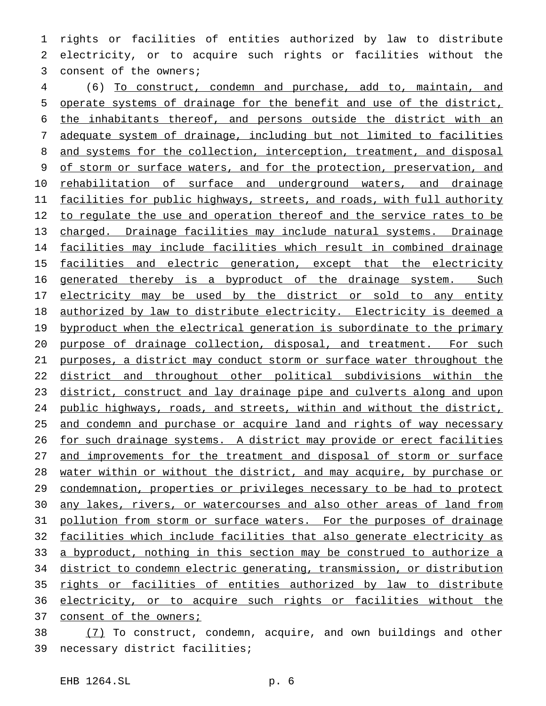1 rights or facilities of entities authorized by law to distribute 2 electricity, or to acquire such rights or facilities without the 3 consent of the owners;

4 (6) To construct, condemn and purchase, add to, maintain, and 5 operate systems of drainage for the benefit and use of the district, 6 the inhabitants thereof, and persons outside the district with an 7 adequate system of drainage, including but not limited to facilities 8 and systems for the collection, interception, treatment, and disposal 9 of storm or surface waters, and for the protection, preservation, and 10 rehabilitation of surface and underground waters, and drainage 11 facilities for public highways, streets, and roads, with full authority 12 to regulate the use and operation thereof and the service rates to be 13 charged. Drainage facilities may include natural systems. Drainage 14 facilities may include facilities which result in combined drainage 15 facilities and electric generation, except that the electricity 16 generated thereby is a byproduct of the drainage system. Such 17 electricity may be used by the district or sold to any entity 18 authorized by law to distribute electricity. Electricity is deemed a 19 byproduct when the electrical generation is subordinate to the primary 20 purpose of drainage collection, disposal, and treatment. For such 21 purposes, a district may conduct storm or surface water throughout the 22 district and throughout other political subdivisions within the 23 district, construct and lay drainage pipe and culverts along and upon 24 public highways, roads, and streets, within and without the district, 25 and condemn and purchase or acquire land and rights of way necessary 26 for such drainage systems. A district may provide or erect facilities 27 and improvements for the treatment and disposal of storm or surface 28 water within or without the district, and may acquire, by purchase or 29 condemnation, properties or privileges necessary to be had to protect 30 any lakes, rivers, or watercourses and also other areas of land from 31 pollution from storm or surface waters. For the purposes of drainage 32 facilities which include facilities that also generate electricity as 33 a byproduct, nothing in this section may be construed to authorize a 34 district to condemn electric generating, transmission, or distribution 35 rights or facilities of entities authorized by law to distribute 36 electricity, or to acquire such rights or facilities without the 37 consent of the owners;

38  $(7)$  To construct, condemn, acquire, and own buildings and other 39 necessary district facilities;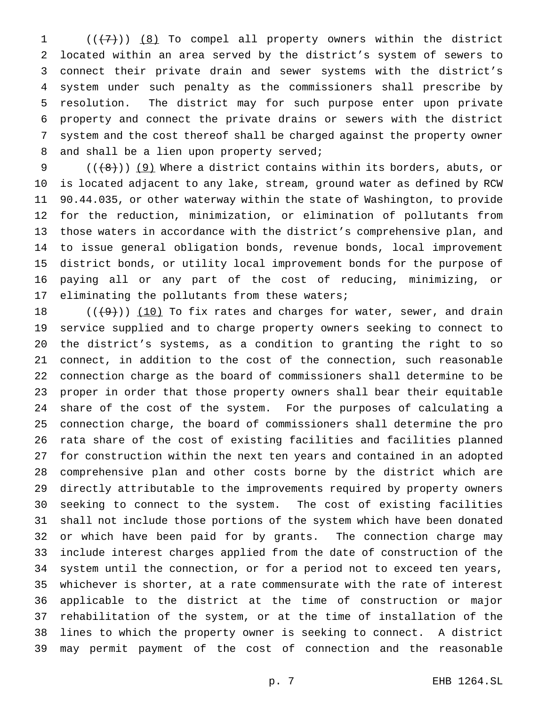$((+7))$   $(8)$  To compel all property owners within the district located within an area served by the district's system of sewers to connect their private drain and sewer systems with the district's system under such penalty as the commissioners shall prescribe by resolution. The district may for such purpose enter upon private property and connect the private drains or sewers with the district system and the cost thereof shall be charged against the property owner and shall be a lien upon property served;

 $((+8+))$  (9) Where a district contains within its borders, abuts, or is located adjacent to any lake, stream, ground water as defined by RCW 90.44.035, or other waterway within the state of Washington, to provide for the reduction, minimization, or elimination of pollutants from those waters in accordance with the district's comprehensive plan, and to issue general obligation bonds, revenue bonds, local improvement district bonds, or utility local improvement bonds for the purpose of paying all or any part of the cost of reducing, minimizing, or 17 eliminating the pollutants from these waters;

 $((+9))$  (10) To fix rates and charges for water, sewer, and drain service supplied and to charge property owners seeking to connect to the district's systems, as a condition to granting the right to so connect, in addition to the cost of the connection, such reasonable connection charge as the board of commissioners shall determine to be proper in order that those property owners shall bear their equitable share of the cost of the system. For the purposes of calculating a connection charge, the board of commissioners shall determine the pro rata share of the cost of existing facilities and facilities planned for construction within the next ten years and contained in an adopted comprehensive plan and other costs borne by the district which are directly attributable to the improvements required by property owners seeking to connect to the system. The cost of existing facilities shall not include those portions of the system which have been donated or which have been paid for by grants. The connection charge may include interest charges applied from the date of construction of the system until the connection, or for a period not to exceed ten years, whichever is shorter, at a rate commensurate with the rate of interest applicable to the district at the time of construction or major rehabilitation of the system, or at the time of installation of the lines to which the property owner is seeking to connect. A district may permit payment of the cost of connection and the reasonable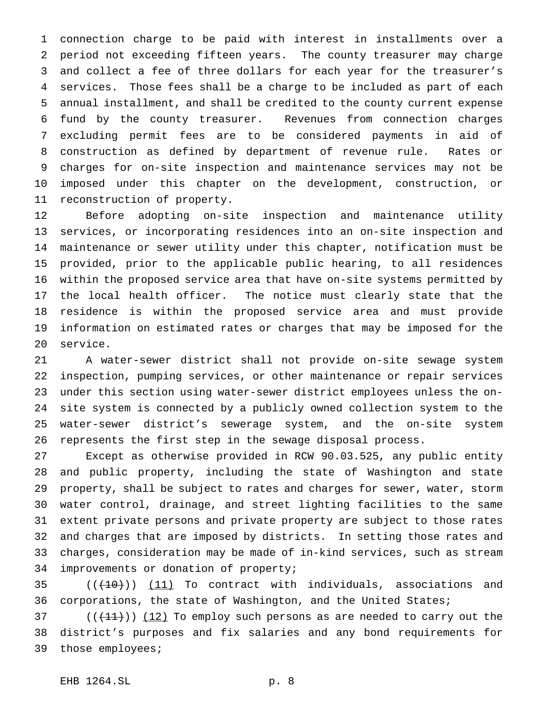connection charge to be paid with interest in installments over a period not exceeding fifteen years. The county treasurer may charge and collect a fee of three dollars for each year for the treasurer's services. Those fees shall be a charge to be included as part of each annual installment, and shall be credited to the county current expense fund by the county treasurer. Revenues from connection charges excluding permit fees are to be considered payments in aid of construction as defined by department of revenue rule. Rates or charges for on-site inspection and maintenance services may not be imposed under this chapter on the development, construction, or reconstruction of property.

 Before adopting on-site inspection and maintenance utility services, or incorporating residences into an on-site inspection and maintenance or sewer utility under this chapter, notification must be provided, prior to the applicable public hearing, to all residences within the proposed service area that have on-site systems permitted by the local health officer. The notice must clearly state that the residence is within the proposed service area and must provide information on estimated rates or charges that may be imposed for the service.

 A water-sewer district shall not provide on-site sewage system inspection, pumping services, or other maintenance or repair services under this section using water-sewer district employees unless the on- site system is connected by a publicly owned collection system to the water-sewer district's sewerage system, and the on-site system represents the first step in the sewage disposal process.

 Except as otherwise provided in RCW 90.03.525, any public entity and public property, including the state of Washington and state property, shall be subject to rates and charges for sewer, water, storm water control, drainage, and street lighting facilities to the same extent private persons and private property are subject to those rates and charges that are imposed by districts. In setting those rates and charges, consideration may be made of in-kind services, such as stream improvements or donation of property;

35  $((+10))$  (11) To contract with individuals, associations and corporations, the state of Washington, and the United States;

 ( $(\overline{+11})$ )  $(12)$  To employ such persons as are needed to carry out the district's purposes and fix salaries and any bond requirements for those employees;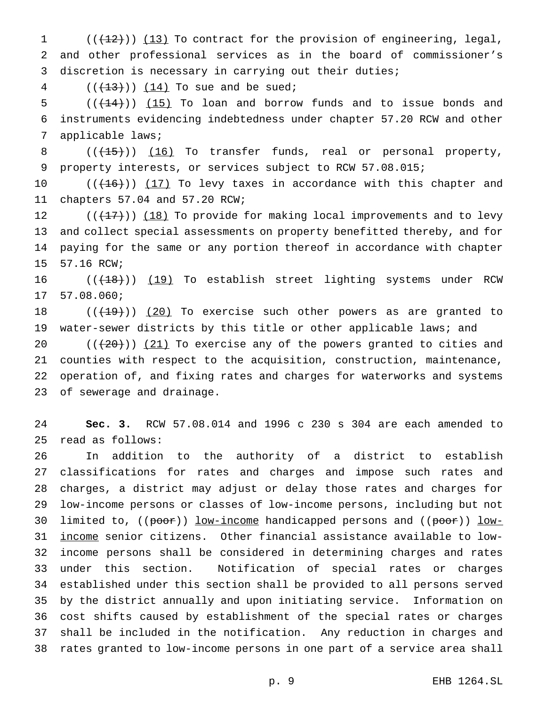1  $((+12))$   $(13)$  To contract for the provision of engineering, legal, and other professional services as in the board of commissioner's discretion is necessary in carrying out their duties;

4  $((+13)) (14)$  To sue and be sued;

5  $((+14))$   $(15)$  To loan and borrow funds and to issue bonds and instruments evidencing indebtedness under chapter 57.20 RCW and other applicable laws;

8 (( $\left(\frac{15}{15}\right)$ ) (16) To transfer funds, real or personal property, property interests, or services subject to RCW 57.08.015;

 $((+16))$   $(17)$  To levy taxes in accordance with this chapter and chapters 57.04 and 57.20 RCW;

 $((+17))$   $(18)$  To provide for making local improvements and to levy and collect special assessments on property benefitted thereby, and for paying for the same or any portion thereof in accordance with chapter 57.16 RCW;

16 (( $\left(\frac{(18)}{19}\right)$  (19) To establish street lighting systems under RCW 57.08.060;

18  $((+19))$   $(20)$  To exercise such other powers as are granted to 19 water-sewer districts by this title or other applicable laws; and

 $((+20))$   $(21)$  To exercise any of the powers granted to cities and counties with respect to the acquisition, construction, maintenance, operation of, and fixing rates and charges for waterworks and systems of sewerage and drainage.

 **Sec. 3.** RCW 57.08.014 and 1996 c 230 s 304 are each amended to read as follows:

 In addition to the authority of a district to establish classifications for rates and charges and impose such rates and charges, a district may adjust or delay those rates and charges for low-income persons or classes of low-income persons, including but not 30 limited to, ((poor)) low-income handicapped persons and ((poor)) low- income senior citizens. Other financial assistance available to low- income persons shall be considered in determining charges and rates under this section. Notification of special rates or charges established under this section shall be provided to all persons served by the district annually and upon initiating service. Information on cost shifts caused by establishment of the special rates or charges shall be included in the notification. Any reduction in charges and rates granted to low-income persons in one part of a service area shall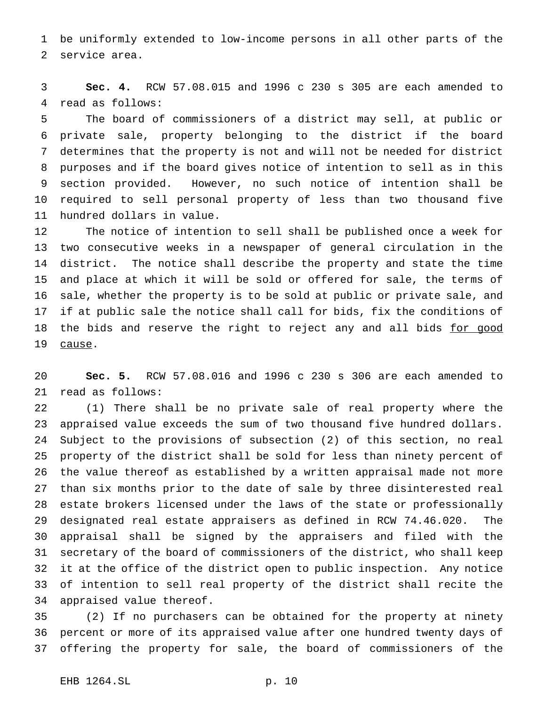be uniformly extended to low-income persons in all other parts of the service area.

 **Sec. 4.** RCW 57.08.015 and 1996 c 230 s 305 are each amended to read as follows:

 The board of commissioners of a district may sell, at public or private sale, property belonging to the district if the board determines that the property is not and will not be needed for district purposes and if the board gives notice of intention to sell as in this section provided. However, no such notice of intention shall be required to sell personal property of less than two thousand five hundred dollars in value.

 The notice of intention to sell shall be published once a week for two consecutive weeks in a newspaper of general circulation in the district. The notice shall describe the property and state the time and place at which it will be sold or offered for sale, the terms of sale, whether the property is to be sold at public or private sale, and if at public sale the notice shall call for bids, fix the conditions of 18 the bids and reserve the right to reject any and all bids for good cause.

 **Sec. 5.** RCW 57.08.016 and 1996 c 230 s 306 are each amended to read as follows:

 (1) There shall be no private sale of real property where the appraised value exceeds the sum of two thousand five hundred dollars. Subject to the provisions of subsection (2) of this section, no real property of the district shall be sold for less than ninety percent of the value thereof as established by a written appraisal made not more than six months prior to the date of sale by three disinterested real estate brokers licensed under the laws of the state or professionally designated real estate appraisers as defined in RCW 74.46.020. The appraisal shall be signed by the appraisers and filed with the secretary of the board of commissioners of the district, who shall keep it at the office of the district open to public inspection. Any notice of intention to sell real property of the district shall recite the appraised value thereof.

 (2) If no purchasers can be obtained for the property at ninety percent or more of its appraised value after one hundred twenty days of offering the property for sale, the board of commissioners of the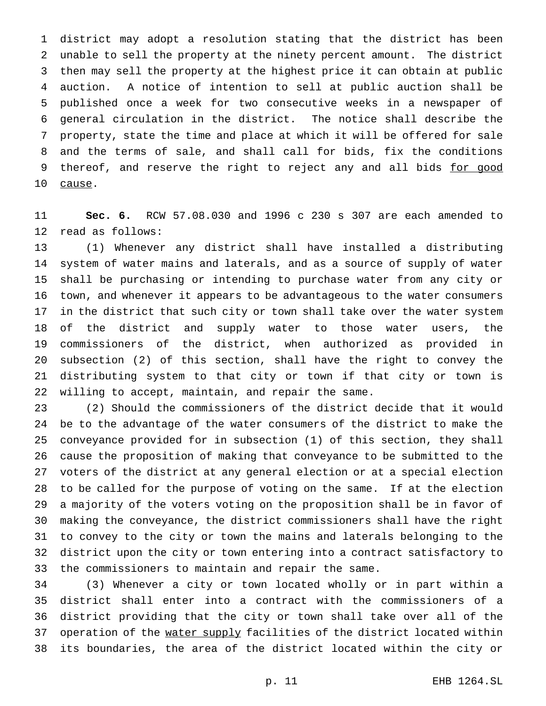district may adopt a resolution stating that the district has been unable to sell the property at the ninety percent amount. The district then may sell the property at the highest price it can obtain at public auction. A notice of intention to sell at public auction shall be published once a week for two consecutive weeks in a newspaper of general circulation in the district. The notice shall describe the property, state the time and place at which it will be offered for sale and the terms of sale, and shall call for bids, fix the conditions 9 thereof, and reserve the right to reject any and all bids for good 10 cause.

 **Sec. 6.** RCW 57.08.030 and 1996 c 230 s 307 are each amended to read as follows:

 (1) Whenever any district shall have installed a distributing system of water mains and laterals, and as a source of supply of water shall be purchasing or intending to purchase water from any city or town, and whenever it appears to be advantageous to the water consumers in the district that such city or town shall take over the water system of the district and supply water to those water users, the commissioners of the district, when authorized as provided in subsection (2) of this section, shall have the right to convey the distributing system to that city or town if that city or town is willing to accept, maintain, and repair the same.

 (2) Should the commissioners of the district decide that it would be to the advantage of the water consumers of the district to make the conveyance provided for in subsection (1) of this section, they shall cause the proposition of making that conveyance to be submitted to the voters of the district at any general election or at a special election to be called for the purpose of voting on the same. If at the election a majority of the voters voting on the proposition shall be in favor of making the conveyance, the district commissioners shall have the right to convey to the city or town the mains and laterals belonging to the district upon the city or town entering into a contract satisfactory to the commissioners to maintain and repair the same.

 (3) Whenever a city or town located wholly or in part within a district shall enter into a contract with the commissioners of a district providing that the city or town shall take over all of the 37 operation of the water supply facilities of the district located within its boundaries, the area of the district located within the city or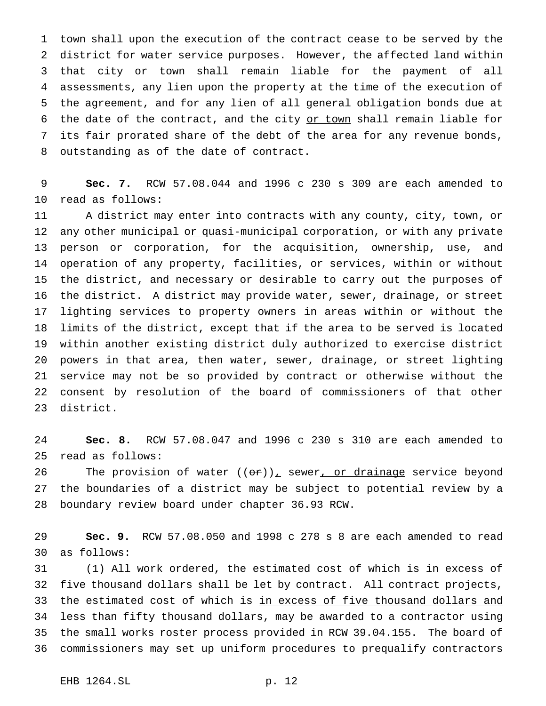town shall upon the execution of the contract cease to be served by the district for water service purposes. However, the affected land within that city or town shall remain liable for the payment of all assessments, any lien upon the property at the time of the execution of the agreement, and for any lien of all general obligation bonds due at 6 the date of the contract, and the city or town shall remain liable for its fair prorated share of the debt of the area for any revenue bonds, outstanding as of the date of contract.

 **Sec. 7.** RCW 57.08.044 and 1996 c 230 s 309 are each amended to read as follows:

 A district may enter into contracts with any county, city, town, or 12 any other municipal or quasi-municipal corporation, or with any private person or corporation, for the acquisition, ownership, use, and operation of any property, facilities, or services, within or without the district, and necessary or desirable to carry out the purposes of the district. A district may provide water, sewer, drainage, or street lighting services to property owners in areas within or without the limits of the district, except that if the area to be served is located within another existing district duly authorized to exercise district powers in that area, then water, sewer, drainage, or street lighting service may not be so provided by contract or otherwise without the consent by resolution of the board of commissioners of that other district.

 **Sec. 8.** RCW 57.08.047 and 1996 c 230 s 310 are each amended to read as follows:

26 The provision of water  $((or))_x$  sewer, or drainage service beyond the boundaries of a district may be subject to potential review by a boundary review board under chapter 36.93 RCW.

 **Sec. 9.** RCW 57.08.050 and 1998 c 278 s 8 are each amended to read as follows:

 (1) All work ordered, the estimated cost of which is in excess of five thousand dollars shall be let by contract. All contract projects, 33 the estimated cost of which is in excess of five thousand dollars and less than fifty thousand dollars, may be awarded to a contractor using the small works roster process provided in RCW 39.04.155. The board of commissioners may set up uniform procedures to prequalify contractors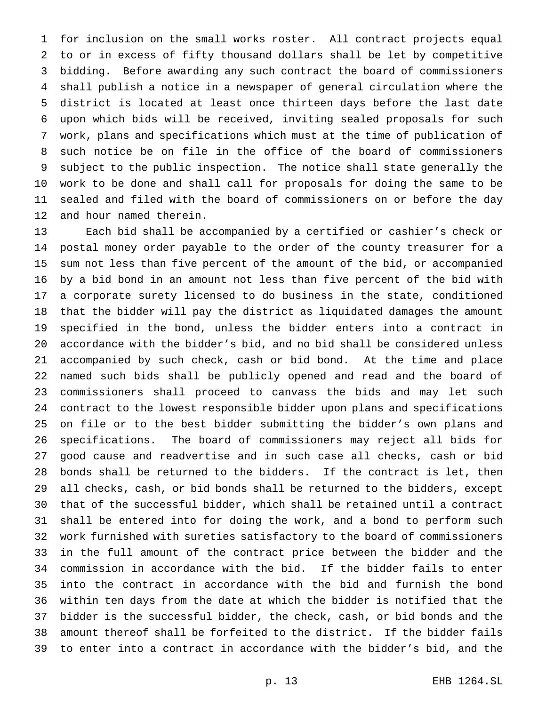for inclusion on the small works roster. All contract projects equal to or in excess of fifty thousand dollars shall be let by competitive bidding. Before awarding any such contract the board of commissioners shall publish a notice in a newspaper of general circulation where the district is located at least once thirteen days before the last date upon which bids will be received, inviting sealed proposals for such work, plans and specifications which must at the time of publication of such notice be on file in the office of the board of commissioners subject to the public inspection. The notice shall state generally the work to be done and shall call for proposals for doing the same to be sealed and filed with the board of commissioners on or before the day and hour named therein.

 Each bid shall be accompanied by a certified or cashier's check or postal money order payable to the order of the county treasurer for a sum not less than five percent of the amount of the bid, or accompanied by a bid bond in an amount not less than five percent of the bid with a corporate surety licensed to do business in the state, conditioned that the bidder will pay the district as liquidated damages the amount specified in the bond, unless the bidder enters into a contract in accordance with the bidder's bid, and no bid shall be considered unless accompanied by such check, cash or bid bond. At the time and place named such bids shall be publicly opened and read and the board of commissioners shall proceed to canvass the bids and may let such contract to the lowest responsible bidder upon plans and specifications on file or to the best bidder submitting the bidder's own plans and specifications. The board of commissioners may reject all bids for good cause and readvertise and in such case all checks, cash or bid bonds shall be returned to the bidders. If the contract is let, then all checks, cash, or bid bonds shall be returned to the bidders, except that of the successful bidder, which shall be retained until a contract shall be entered into for doing the work, and a bond to perform such work furnished with sureties satisfactory to the board of commissioners in the full amount of the contract price between the bidder and the commission in accordance with the bid. If the bidder fails to enter into the contract in accordance with the bid and furnish the bond within ten days from the date at which the bidder is notified that the bidder is the successful bidder, the check, cash, or bid bonds and the amount thereof shall be forfeited to the district. If the bidder fails to enter into a contract in accordance with the bidder's bid, and the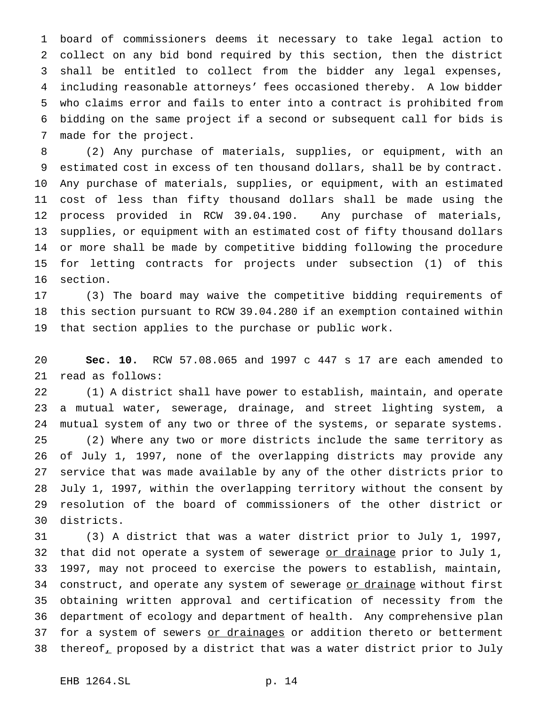board of commissioners deems it necessary to take legal action to collect on any bid bond required by this section, then the district shall be entitled to collect from the bidder any legal expenses, including reasonable attorneys' fees occasioned thereby. A low bidder who claims error and fails to enter into a contract is prohibited from bidding on the same project if a second or subsequent call for bids is made for the project.

 (2) Any purchase of materials, supplies, or equipment, with an estimated cost in excess of ten thousand dollars, shall be by contract. Any purchase of materials, supplies, or equipment, with an estimated cost of less than fifty thousand dollars shall be made using the process provided in RCW 39.04.190. Any purchase of materials, supplies, or equipment with an estimated cost of fifty thousand dollars or more shall be made by competitive bidding following the procedure for letting contracts for projects under subsection (1) of this section.

 (3) The board may waive the competitive bidding requirements of this section pursuant to RCW 39.04.280 if an exemption contained within that section applies to the purchase or public work.

 **Sec. 10.** RCW 57.08.065 and 1997 c 447 s 17 are each amended to read as follows:

 (1) A district shall have power to establish, maintain, and operate a mutual water, sewerage, drainage, and street lighting system, a mutual system of any two or three of the systems, or separate systems. (2) Where any two or more districts include the same territory as of July 1, 1997, none of the overlapping districts may provide any service that was made available by any of the other districts prior to July 1, 1997, within the overlapping territory without the consent by resolution of the board of commissioners of the other district or districts.

 (3) A district that was a water district prior to July 1, 1997, 32 that did not operate a system of sewerage or drainage prior to July 1, 1997, may not proceed to exercise the powers to establish, maintain, 34 construct, and operate any system of sewerage or drainage without first obtaining written approval and certification of necessity from the department of ecology and department of health. Any comprehensive plan 37 for a system of sewers or drainages or addition thereto or betterment 38 thereof, proposed by a district that was a water district prior to July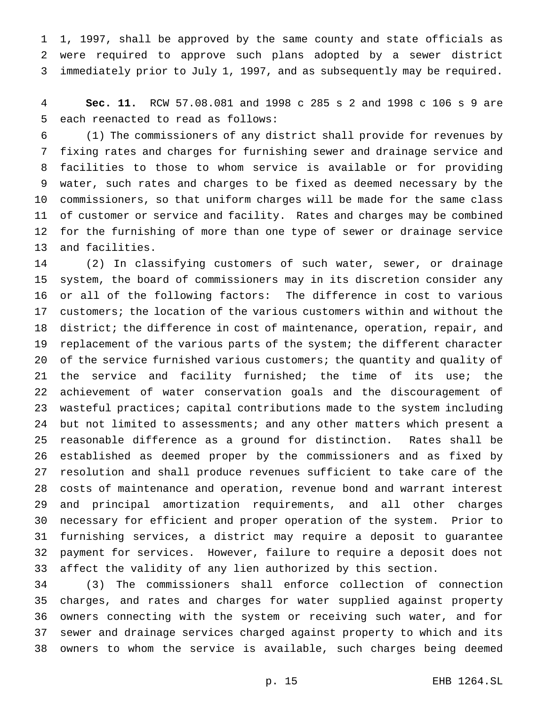1, 1997, shall be approved by the same county and state officials as were required to approve such plans adopted by a sewer district immediately prior to July 1, 1997, and as subsequently may be required.

 **Sec. 11.** RCW 57.08.081 and 1998 c 285 s 2 and 1998 c 106 s 9 are each reenacted to read as follows:

 (1) The commissioners of any district shall provide for revenues by fixing rates and charges for furnishing sewer and drainage service and facilities to those to whom service is available or for providing water, such rates and charges to be fixed as deemed necessary by the commissioners, so that uniform charges will be made for the same class of customer or service and facility. Rates and charges may be combined for the furnishing of more than one type of sewer or drainage service and facilities.

 (2) In classifying customers of such water, sewer, or drainage system, the board of commissioners may in its discretion consider any or all of the following factors: The difference in cost to various customers; the location of the various customers within and without the district; the difference in cost of maintenance, operation, repair, and replacement of the various parts of the system; the different character 20 of the service furnished various customers; the quantity and quality of 21 the service and facility furnished; the time of its use; the achievement of water conservation goals and the discouragement of wasteful practices; capital contributions made to the system including but not limited to assessments; and any other matters which present a reasonable difference as a ground for distinction. Rates shall be established as deemed proper by the commissioners and as fixed by resolution and shall produce revenues sufficient to take care of the costs of maintenance and operation, revenue bond and warrant interest and principal amortization requirements, and all other charges necessary for efficient and proper operation of the system. Prior to furnishing services, a district may require a deposit to guarantee payment for services. However, failure to require a deposit does not affect the validity of any lien authorized by this section.

 (3) The commissioners shall enforce collection of connection charges, and rates and charges for water supplied against property owners connecting with the system or receiving such water, and for sewer and drainage services charged against property to which and its owners to whom the service is available, such charges being deemed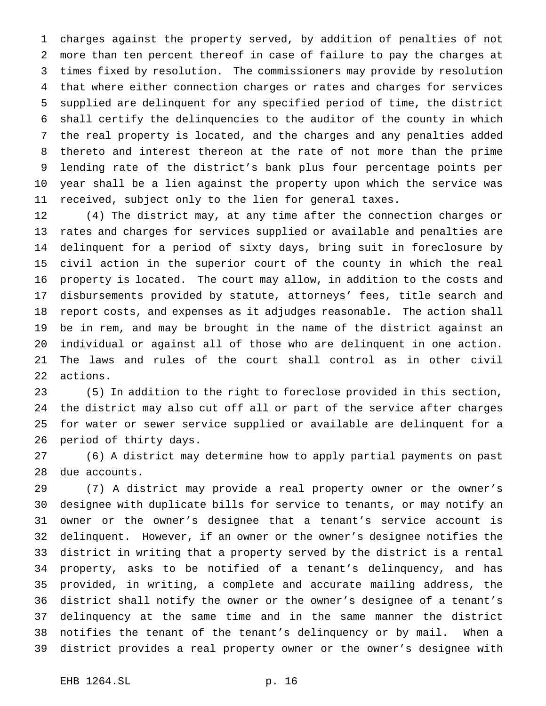charges against the property served, by addition of penalties of not more than ten percent thereof in case of failure to pay the charges at times fixed by resolution. The commissioners may provide by resolution that where either connection charges or rates and charges for services supplied are delinquent for any specified period of time, the district shall certify the delinquencies to the auditor of the county in which the real property is located, and the charges and any penalties added thereto and interest thereon at the rate of not more than the prime lending rate of the district's bank plus four percentage points per year shall be a lien against the property upon which the service was received, subject only to the lien for general taxes.

 (4) The district may, at any time after the connection charges or rates and charges for services supplied or available and penalties are delinquent for a period of sixty days, bring suit in foreclosure by civil action in the superior court of the county in which the real property is located. The court may allow, in addition to the costs and disbursements provided by statute, attorneys' fees, title search and report costs, and expenses as it adjudges reasonable. The action shall be in rem, and may be brought in the name of the district against an individual or against all of those who are delinquent in one action. The laws and rules of the court shall control as in other civil actions.

 (5) In addition to the right to foreclose provided in this section, the district may also cut off all or part of the service after charges for water or sewer service supplied or available are delinquent for a period of thirty days.

 (6) A district may determine how to apply partial payments on past due accounts.

 (7) A district may provide a real property owner or the owner's designee with duplicate bills for service to tenants, or may notify an owner or the owner's designee that a tenant's service account is delinquent. However, if an owner or the owner's designee notifies the district in writing that a property served by the district is a rental property, asks to be notified of a tenant's delinquency, and has provided, in writing, a complete and accurate mailing address, the district shall notify the owner or the owner's designee of a tenant's delinquency at the same time and in the same manner the district notifies the tenant of the tenant's delinquency or by mail. When a district provides a real property owner or the owner's designee with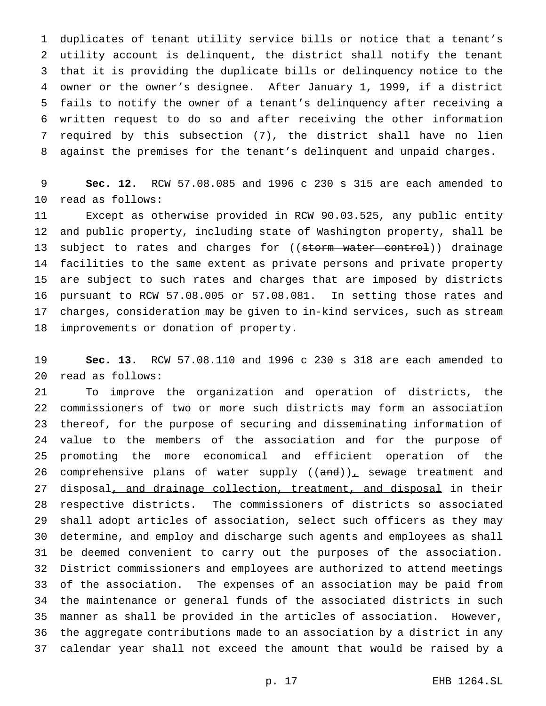duplicates of tenant utility service bills or notice that a tenant's utility account is delinquent, the district shall notify the tenant that it is providing the duplicate bills or delinquency notice to the owner or the owner's designee. After January 1, 1999, if a district fails to notify the owner of a tenant's delinquency after receiving a written request to do so and after receiving the other information required by this subsection (7), the district shall have no lien against the premises for the tenant's delinquent and unpaid charges.

 **Sec. 12.** RCW 57.08.085 and 1996 c 230 s 315 are each amended to read as follows:

 Except as otherwise provided in RCW 90.03.525, any public entity and public property, including state of Washington property, shall be 13 subject to rates and charges for ((storm water control)) drainage facilities to the same extent as private persons and private property are subject to such rates and charges that are imposed by districts pursuant to RCW 57.08.005 or 57.08.081. In setting those rates and charges, consideration may be given to in-kind services, such as stream improvements or donation of property.

 **Sec. 13.** RCW 57.08.110 and 1996 c 230 s 318 are each amended to read as follows:

 To improve the organization and operation of districts, the commissioners of two or more such districts may form an association thereof, for the purpose of securing and disseminating information of value to the members of the association and for the purpose of promoting the more economical and efficient operation of the 26 comprehensive plans of water supply  $((and))_+$  sewage treatment and 27 disposal, and drainage collection, treatment, and disposal in their respective districts. The commissioners of districts so associated shall adopt articles of association, select such officers as they may determine, and employ and discharge such agents and employees as shall be deemed convenient to carry out the purposes of the association. District commissioners and employees are authorized to attend meetings of the association. The expenses of an association may be paid from the maintenance or general funds of the associated districts in such manner as shall be provided in the articles of association. However, the aggregate contributions made to an association by a district in any calendar year shall not exceed the amount that would be raised by a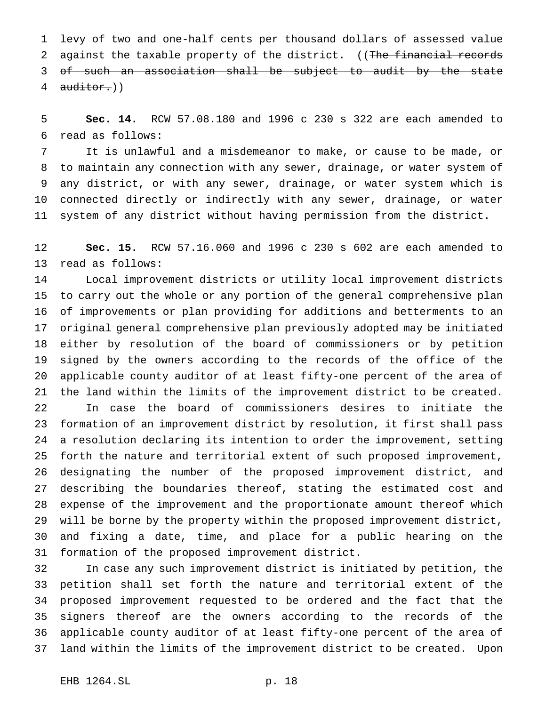levy of two and one-half cents per thousand dollars of assessed value 2 against the taxable property of the district. ((The financial records of such an association shall be subject to audit by the state 4 auditor.))

 **Sec. 14.** RCW 57.08.180 and 1996 c 230 s 322 are each amended to read as follows:

 It is unlawful and a misdemeanor to make, or cause to be made, or 8 to maintain any connection with any sewer, drainage, or water system of 9 any district, or with any sewer, drainage, or water system which is 10 connected directly or indirectly with any sewer, drainage, or water system of any district without having permission from the district.

 **Sec. 15.** RCW 57.16.060 and 1996 c 230 s 602 are each amended to read as follows:

 Local improvement districts or utility local improvement districts to carry out the whole or any portion of the general comprehensive plan of improvements or plan providing for additions and betterments to an original general comprehensive plan previously adopted may be initiated either by resolution of the board of commissioners or by petition signed by the owners according to the records of the office of the applicable county auditor of at least fifty-one percent of the area of the land within the limits of the improvement district to be created. In case the board of commissioners desires to initiate the formation of an improvement district by resolution, it first shall pass a resolution declaring its intention to order the improvement, setting forth the nature and territorial extent of such proposed improvement, designating the number of the proposed improvement district, and describing the boundaries thereof, stating the estimated cost and expense of the improvement and the proportionate amount thereof which will be borne by the property within the proposed improvement district, and fixing a date, time, and place for a public hearing on the formation of the proposed improvement district.

 In case any such improvement district is initiated by petition, the petition shall set forth the nature and territorial extent of the proposed improvement requested to be ordered and the fact that the signers thereof are the owners according to the records of the applicable county auditor of at least fifty-one percent of the area of land within the limits of the improvement district to be created. Upon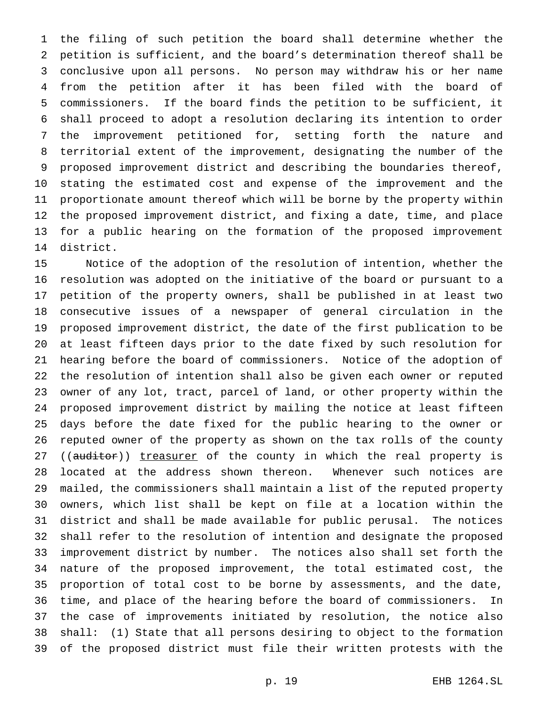the filing of such petition the board shall determine whether the petition is sufficient, and the board's determination thereof shall be conclusive upon all persons. No person may withdraw his or her name from the petition after it has been filed with the board of commissioners. If the board finds the petition to be sufficient, it shall proceed to adopt a resolution declaring its intention to order the improvement petitioned for, setting forth the nature and territorial extent of the improvement, designating the number of the proposed improvement district and describing the boundaries thereof, stating the estimated cost and expense of the improvement and the proportionate amount thereof which will be borne by the property within the proposed improvement district, and fixing a date, time, and place for a public hearing on the formation of the proposed improvement district.

 Notice of the adoption of the resolution of intention, whether the resolution was adopted on the initiative of the board or pursuant to a petition of the property owners, shall be published in at least two consecutive issues of a newspaper of general circulation in the proposed improvement district, the date of the first publication to be at least fifteen days prior to the date fixed by such resolution for hearing before the board of commissioners. Notice of the adoption of the resolution of intention shall also be given each owner or reputed owner of any lot, tract, parcel of land, or other property within the proposed improvement district by mailing the notice at least fifteen days before the date fixed for the public hearing to the owner or reputed owner of the property as shown on the tax rolls of the county 27 ((auditor)) treasurer of the county in which the real property is located at the address shown thereon. Whenever such notices are mailed, the commissioners shall maintain a list of the reputed property owners, which list shall be kept on file at a location within the district and shall be made available for public perusal. The notices shall refer to the resolution of intention and designate the proposed improvement district by number. The notices also shall set forth the nature of the proposed improvement, the total estimated cost, the proportion of total cost to be borne by assessments, and the date, time, and place of the hearing before the board of commissioners. In the case of improvements initiated by resolution, the notice also shall: (1) State that all persons desiring to object to the formation of the proposed district must file their written protests with the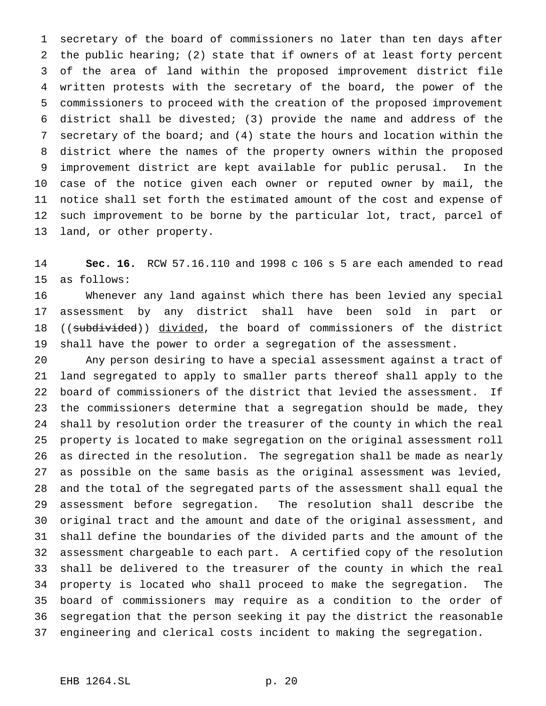secretary of the board of commissioners no later than ten days after the public hearing; (2) state that if owners of at least forty percent of the area of land within the proposed improvement district file written protests with the secretary of the board, the power of the commissioners to proceed with the creation of the proposed improvement district shall be divested; (3) provide the name and address of the secretary of the board; and (4) state the hours and location within the district where the names of the property owners within the proposed improvement district are kept available for public perusal. In the case of the notice given each owner or reputed owner by mail, the notice shall set forth the estimated amount of the cost and expense of such improvement to be borne by the particular lot, tract, parcel of land, or other property.

 **Sec. 16.** RCW 57.16.110 and 1998 c 106 s 5 are each amended to read as follows:

 Whenever any land against which there has been levied any special assessment by any district shall have been sold in part or 18 ((subdivided)) divided, the board of commissioners of the district shall have the power to order a segregation of the assessment.

 Any person desiring to have a special assessment against a tract of land segregated to apply to smaller parts thereof shall apply to the board of commissioners of the district that levied the assessment. If the commissioners determine that a segregation should be made, they shall by resolution order the treasurer of the county in which the real property is located to make segregation on the original assessment roll as directed in the resolution. The segregation shall be made as nearly as possible on the same basis as the original assessment was levied, and the total of the segregated parts of the assessment shall equal the assessment before segregation. The resolution shall describe the original tract and the amount and date of the original assessment, and shall define the boundaries of the divided parts and the amount of the assessment chargeable to each part. A certified copy of the resolution shall be delivered to the treasurer of the county in which the real property is located who shall proceed to make the segregation. The board of commissioners may require as a condition to the order of segregation that the person seeking it pay the district the reasonable engineering and clerical costs incident to making the segregation.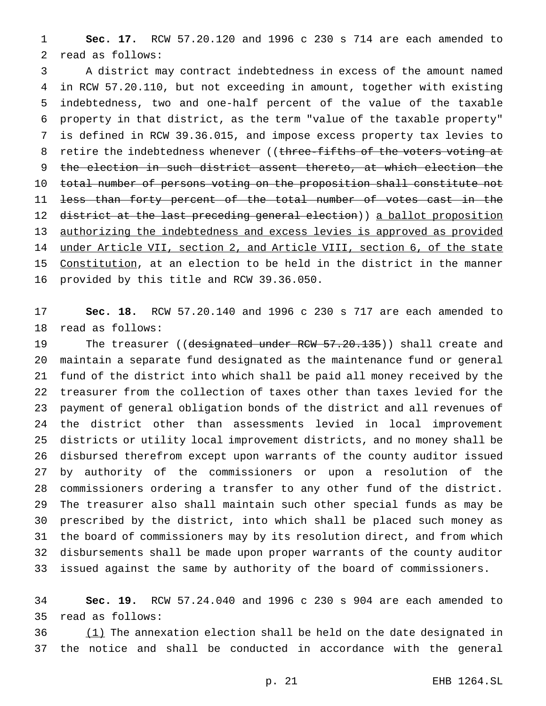**Sec. 17.** RCW 57.20.120 and 1996 c 230 s 714 are each amended to read as follows:

 A district may contract indebtedness in excess of the amount named in RCW 57.20.110, but not exceeding in amount, together with existing indebtedness, two and one-half percent of the value of the taxable property in that district, as the term "value of the taxable property" is defined in RCW 39.36.015, and impose excess property tax levies to 8 retire the indebtedness whenever ((three-fifths of the voters voting at the election in such district assent thereto, at which election the total number of persons voting on the proposition shall constitute not less than forty percent of the total number of votes cast in the 12 district at the last preceding general election)) a ballot proposition authorizing the indebtedness and excess levies is approved as provided under Article VII, section 2, and Article VIII, section 6, of the state Constitution, at an election to be held in the district in the manner provided by this title and RCW 39.36.050.

 **Sec. 18.** RCW 57.20.140 and 1996 c 230 s 717 are each amended to read as follows:

19 The treasurer ((designated under RCW 57.20.135)) shall create and maintain a separate fund designated as the maintenance fund or general fund of the district into which shall be paid all money received by the treasurer from the collection of taxes other than taxes levied for the payment of general obligation bonds of the district and all revenues of the district other than assessments levied in local improvement districts or utility local improvement districts, and no money shall be disbursed therefrom except upon warrants of the county auditor issued by authority of the commissioners or upon a resolution of the commissioners ordering a transfer to any other fund of the district. The treasurer also shall maintain such other special funds as may be prescribed by the district, into which shall be placed such money as the board of commissioners may by its resolution direct, and from which disbursements shall be made upon proper warrants of the county auditor issued against the same by authority of the board of commissioners.

 **Sec. 19.** RCW 57.24.040 and 1996 c 230 s 904 are each amended to read as follows:

 (1) The annexation election shall be held on the date designated in the notice and shall be conducted in accordance with the general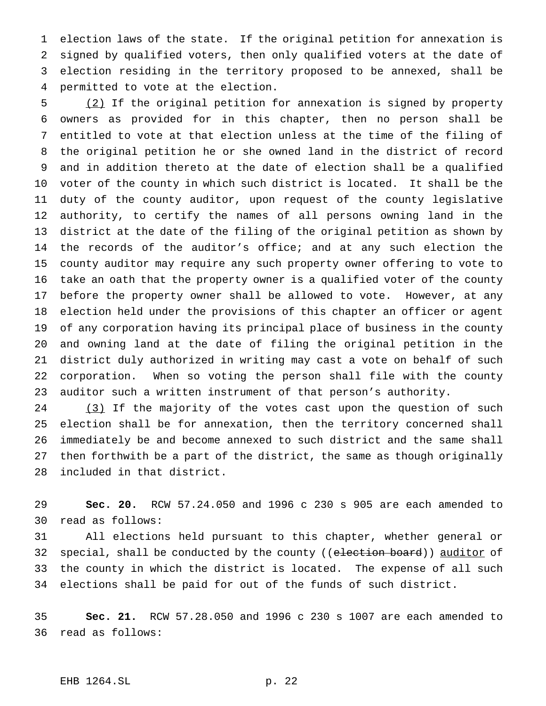election laws of the state. If the original petition for annexation is signed by qualified voters, then only qualified voters at the date of election residing in the territory proposed to be annexed, shall be permitted to vote at the election.

 (2) If the original petition for annexation is signed by property owners as provided for in this chapter, then no person shall be entitled to vote at that election unless at the time of the filing of the original petition he or she owned land in the district of record and in addition thereto at the date of election shall be a qualified voter of the county in which such district is located. It shall be the duty of the county auditor, upon request of the county legislative authority, to certify the names of all persons owning land in the district at the date of the filing of the original petition as shown by the records of the auditor's office; and at any such election the county auditor may require any such property owner offering to vote to take an oath that the property owner is a qualified voter of the county before the property owner shall be allowed to vote. However, at any election held under the provisions of this chapter an officer or agent of any corporation having its principal place of business in the county and owning land at the date of filing the original petition in the district duly authorized in writing may cast a vote on behalf of such corporation. When so voting the person shall file with the county auditor such a written instrument of that person's authority.

24 (3) If the majority of the votes cast upon the question of such election shall be for annexation, then the territory concerned shall immediately be and become annexed to such district and the same shall then forthwith be a part of the district, the same as though originally included in that district.

 **Sec. 20.** RCW 57.24.050 and 1996 c 230 s 905 are each amended to read as follows:

 All elections held pursuant to this chapter, whether general or 32 special, shall be conducted by the county ((election board)) auditor of the county in which the district is located. The expense of all such elections shall be paid for out of the funds of such district.

 **Sec. 21.** RCW 57.28.050 and 1996 c 230 s 1007 are each amended to read as follows:

#### EHB 1264.SL p. 22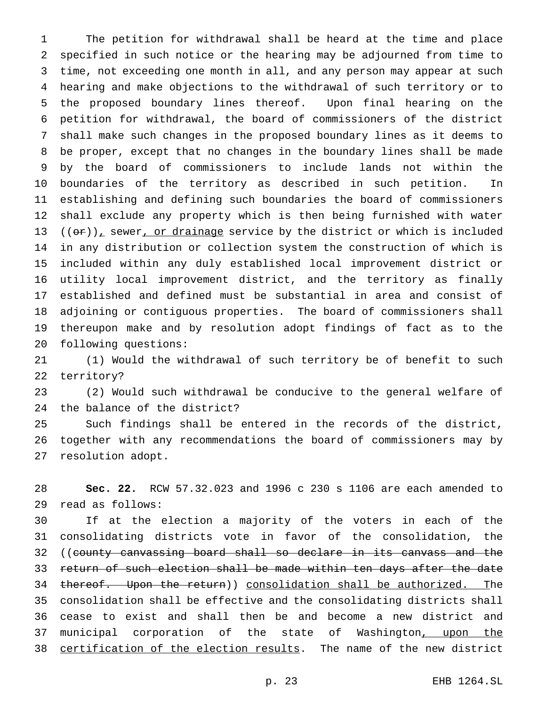The petition for withdrawal shall be heard at the time and place specified in such notice or the hearing may be adjourned from time to time, not exceeding one month in all, and any person may appear at such hearing and make objections to the withdrawal of such territory or to the proposed boundary lines thereof. Upon final hearing on the petition for withdrawal, the board of commissioners of the district shall make such changes in the proposed boundary lines as it deems to be proper, except that no changes in the boundary lines shall be made by the board of commissioners to include lands not within the boundaries of the territory as described in such petition. In establishing and defining such boundaries the board of commissioners shall exclude any property which is then being furnished with water  $((or))_r$  sewer, or drainage service by the district or which is included in any distribution or collection system the construction of which is included within any duly established local improvement district or utility local improvement district, and the territory as finally established and defined must be substantial in area and consist of adjoining or contiguous properties. The board of commissioners shall thereupon make and by resolution adopt findings of fact as to the following questions:

 (1) Would the withdrawal of such territory be of benefit to such territory?

 (2) Would such withdrawal be conducive to the general welfare of the balance of the district?

 Such findings shall be entered in the records of the district, together with any recommendations the board of commissioners may by resolution adopt.

 **Sec. 22.** RCW 57.32.023 and 1996 c 230 s 1106 are each amended to read as follows:

 If at the election a majority of the voters in each of the consolidating districts vote in favor of the consolidation, the ((county canvassing board shall so declare in its canvass and the return of such election shall be made within ten days after the date 34 thereof. Upon the return)) consolidation shall be authorized. The consolidation shall be effective and the consolidating districts shall cease to exist and shall then be and become a new district and 37 municipal corporation of the state of Washington, upon the certification of the election results. The name of the new district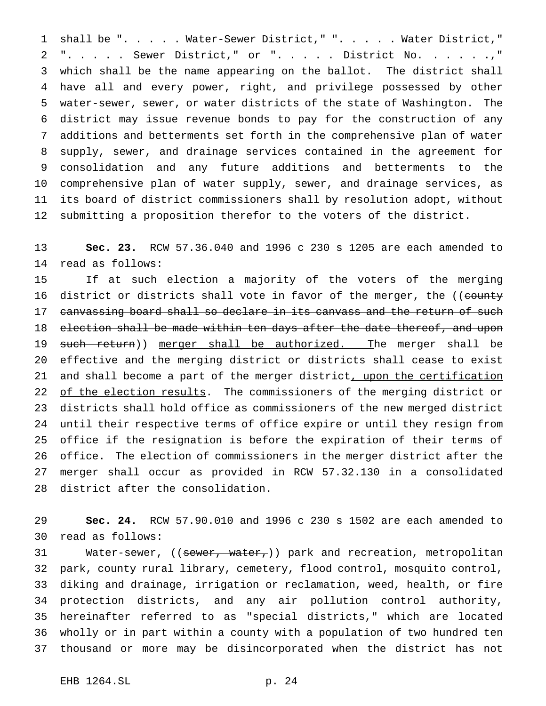shall be "..... Water-Sewer District," "..... Water District," ". . . . . Sewer District," or "..... District No. . . . . .," which shall be the name appearing on the ballot. The district shall have all and every power, right, and privilege possessed by other water-sewer, sewer, or water districts of the state of Washington. The district may issue revenue bonds to pay for the construction of any additions and betterments set forth in the comprehensive plan of water supply, sewer, and drainage services contained in the agreement for consolidation and any future additions and betterments to the comprehensive plan of water supply, sewer, and drainage services, as its board of district commissioners shall by resolution adopt, without submitting a proposition therefor to the voters of the district.

 **Sec. 23.** RCW 57.36.040 and 1996 c 230 s 1205 are each amended to read as follows:

 If at such election a majority of the voters of the merging 16 district or districts shall vote in favor of the merger, the ((county 17 canvassing board shall so declare in its canvass and the return of such 18 election shall be made within ten days after the date thereof, and upon 19 such return)) merger shall be authorized. The merger shall be effective and the merging district or districts shall cease to exist 21 and shall become a part of the merger district, upon the certification 22 of the election results. The commissioners of the merging district or districts shall hold office as commissioners of the new merged district until their respective terms of office expire or until they resign from office if the resignation is before the expiration of their terms of office. The election of commissioners in the merger district after the merger shall occur as provided in RCW 57.32.130 in a consolidated district after the consolidation.

 **Sec. 24.** RCW 57.90.010 and 1996 c 230 s 1502 are each amended to read as follows:

31 Water-sewer, ((sewer, water,)) park and recreation, metropolitan park, county rural library, cemetery, flood control, mosquito control, diking and drainage, irrigation or reclamation, weed, health, or fire protection districts, and any air pollution control authority, hereinafter referred to as "special districts," which are located wholly or in part within a county with a population of two hundred ten thousand or more may be disincorporated when the district has not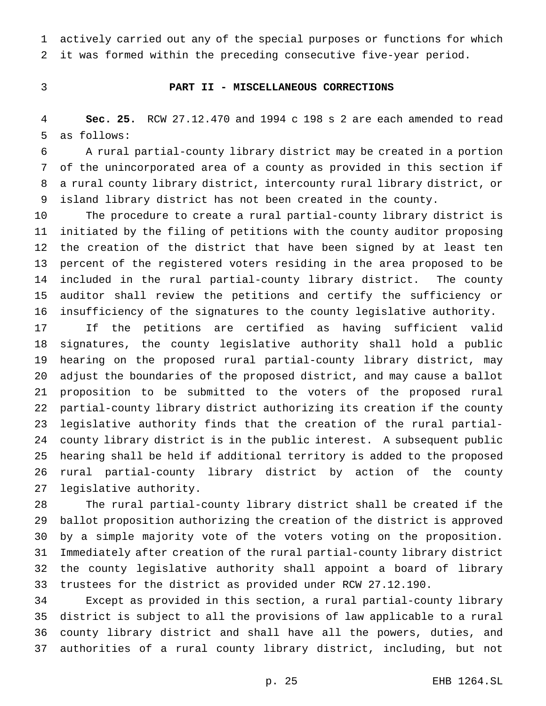actively carried out any of the special purposes or functions for which it was formed within the preceding consecutive five-year period.

## **PART II - MISCELLANEOUS CORRECTIONS**

 **Sec. 25.** RCW 27.12.470 and 1994 c 198 s 2 are each amended to read as follows:

 A rural partial-county library district may be created in a portion of the unincorporated area of a county as provided in this section if a rural county library district, intercounty rural library district, or island library district has not been created in the county.

 The procedure to create a rural partial-county library district is initiated by the filing of petitions with the county auditor proposing the creation of the district that have been signed by at least ten percent of the registered voters residing in the area proposed to be included in the rural partial-county library district. The county auditor shall review the petitions and certify the sufficiency or insufficiency of the signatures to the county legislative authority.

 If the petitions are certified as having sufficient valid signatures, the county legislative authority shall hold a public hearing on the proposed rural partial-county library district, may adjust the boundaries of the proposed district, and may cause a ballot proposition to be submitted to the voters of the proposed rural partial-county library district authorizing its creation if the county legislative authority finds that the creation of the rural partial- county library district is in the public interest. A subsequent public hearing shall be held if additional territory is added to the proposed rural partial-county library district by action of the county legislative authority.

 The rural partial-county library district shall be created if the ballot proposition authorizing the creation of the district is approved by a simple majority vote of the voters voting on the proposition. Immediately after creation of the rural partial-county library district the county legislative authority shall appoint a board of library trustees for the district as provided under RCW 27.12.190.

 Except as provided in this section, a rural partial-county library district is subject to all the provisions of law applicable to a rural county library district and shall have all the powers, duties, and authorities of a rural county library district, including, but not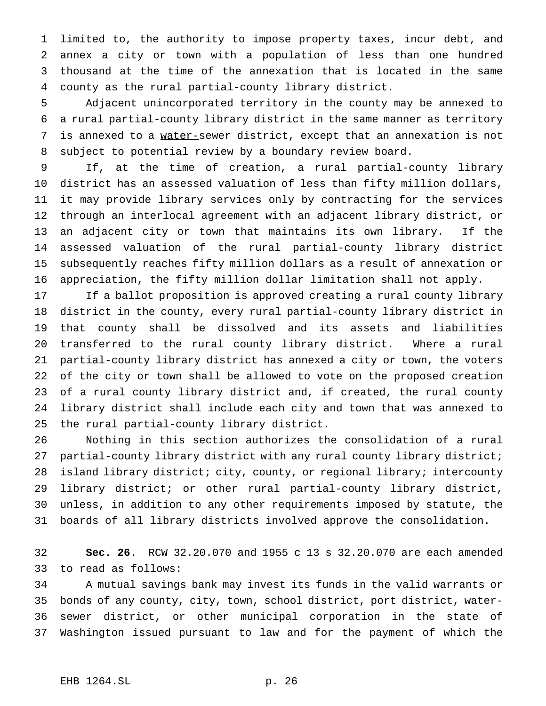limited to, the authority to impose property taxes, incur debt, and annex a city or town with a population of less than one hundred thousand at the time of the annexation that is located in the same county as the rural partial-county library district.

 Adjacent unincorporated territory in the county may be annexed to a rural partial-county library district in the same manner as territory is annexed to a water-sewer district, except that an annexation is not subject to potential review by a boundary review board.

 If, at the time of creation, a rural partial-county library district has an assessed valuation of less than fifty million dollars, it may provide library services only by contracting for the services through an interlocal agreement with an adjacent library district, or an adjacent city or town that maintains its own library. If the assessed valuation of the rural partial-county library district subsequently reaches fifty million dollars as a result of annexation or appreciation, the fifty million dollar limitation shall not apply.

 If a ballot proposition is approved creating a rural county library district in the county, every rural partial-county library district in that county shall be dissolved and its assets and liabilities transferred to the rural county library district. Where a rural partial-county library district has annexed a city or town, the voters of the city or town shall be allowed to vote on the proposed creation of a rural county library district and, if created, the rural county library district shall include each city and town that was annexed to the rural partial-county library district.

 Nothing in this section authorizes the consolidation of a rural 27 partial-county library district with any rural county library district; island library district; city, county, or regional library; intercounty library district; or other rural partial-county library district, unless, in addition to any other requirements imposed by statute, the boards of all library districts involved approve the consolidation.

 **Sec. 26.** RCW 32.20.070 and 1955 c 13 s 32.20.070 are each amended to read as follows:

 A mutual savings bank may invest its funds in the valid warrants or 35 bonds of any county, city, town, school district, port district, water-36 sewer district, or other municipal corporation in the state of Washington issued pursuant to law and for the payment of which the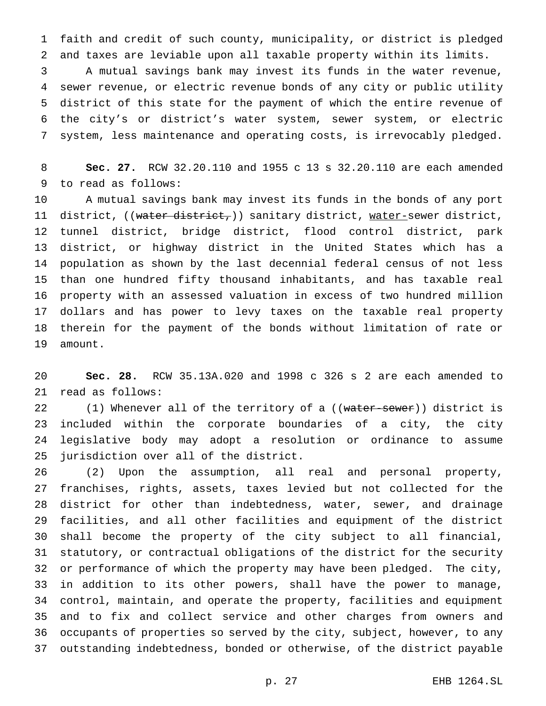faith and credit of such county, municipality, or district is pledged and taxes are leviable upon all taxable property within its limits.

 A mutual savings bank may invest its funds in the water revenue, sewer revenue, or electric revenue bonds of any city or public utility district of this state for the payment of which the entire revenue of the city's or district's water system, sewer system, or electric system, less maintenance and operating costs, is irrevocably pledged.

 **Sec. 27.** RCW 32.20.110 and 1955 c 13 s 32.20.110 are each amended to read as follows:

 A mutual savings bank may invest its funds in the bonds of any port 11 district, ((water district,)) sanitary district, water-sewer district, tunnel district, bridge district, flood control district, park district, or highway district in the United States which has a population as shown by the last decennial federal census of not less than one hundred fifty thousand inhabitants, and has taxable real property with an assessed valuation in excess of two hundred million dollars and has power to levy taxes on the taxable real property therein for the payment of the bonds without limitation of rate or amount.

 **Sec. 28.** RCW 35.13A.020 and 1998 c 326 s 2 are each amended to read as follows:

22 (1) Whenever all of the territory of a ((water-sewer)) district is included within the corporate boundaries of a city, the city legislative body may adopt a resolution or ordinance to assume jurisdiction over all of the district.

 (2) Upon the assumption, all real and personal property, franchises, rights, assets, taxes levied but not collected for the district for other than indebtedness, water, sewer, and drainage facilities, and all other facilities and equipment of the district shall become the property of the city subject to all financial, statutory, or contractual obligations of the district for the security or performance of which the property may have been pledged. The city, in addition to its other powers, shall have the power to manage, control, maintain, and operate the property, facilities and equipment and to fix and collect service and other charges from owners and occupants of properties so served by the city, subject, however, to any outstanding indebtedness, bonded or otherwise, of the district payable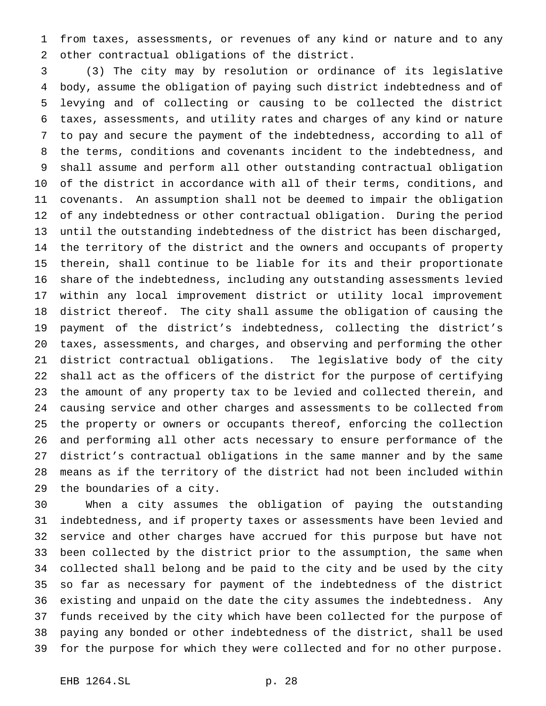from taxes, assessments, or revenues of any kind or nature and to any other contractual obligations of the district.

 (3) The city may by resolution or ordinance of its legislative body, assume the obligation of paying such district indebtedness and of levying and of collecting or causing to be collected the district taxes, assessments, and utility rates and charges of any kind or nature to pay and secure the payment of the indebtedness, according to all of the terms, conditions and covenants incident to the indebtedness, and shall assume and perform all other outstanding contractual obligation of the district in accordance with all of their terms, conditions, and covenants. An assumption shall not be deemed to impair the obligation of any indebtedness or other contractual obligation. During the period until the outstanding indebtedness of the district has been discharged, the territory of the district and the owners and occupants of property therein, shall continue to be liable for its and their proportionate share of the indebtedness, including any outstanding assessments levied within any local improvement district or utility local improvement district thereof. The city shall assume the obligation of causing the payment of the district's indebtedness, collecting the district's taxes, assessments, and charges, and observing and performing the other district contractual obligations. The legislative body of the city shall act as the officers of the district for the purpose of certifying the amount of any property tax to be levied and collected therein, and causing service and other charges and assessments to be collected from the property or owners or occupants thereof, enforcing the collection and performing all other acts necessary to ensure performance of the district's contractual obligations in the same manner and by the same means as if the territory of the district had not been included within the boundaries of a city.

 When a city assumes the obligation of paying the outstanding indebtedness, and if property taxes or assessments have been levied and service and other charges have accrued for this purpose but have not been collected by the district prior to the assumption, the same when collected shall belong and be paid to the city and be used by the city so far as necessary for payment of the indebtedness of the district existing and unpaid on the date the city assumes the indebtedness. Any funds received by the city which have been collected for the purpose of paying any bonded or other indebtedness of the district, shall be used for the purpose for which they were collected and for no other purpose.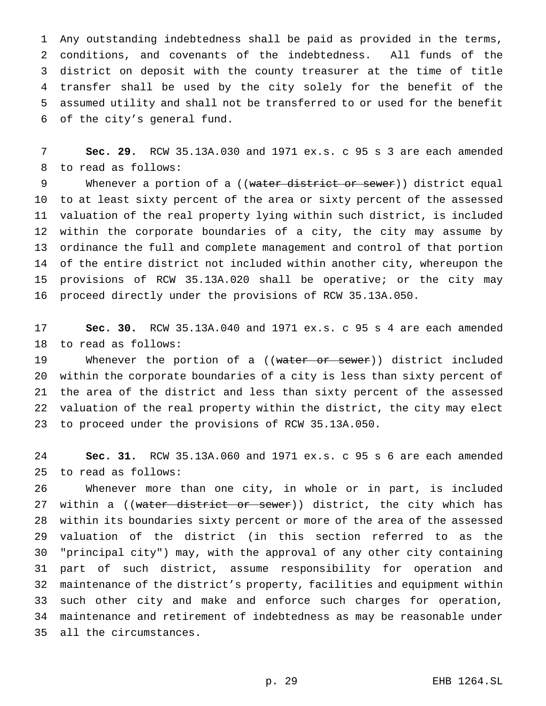Any outstanding indebtedness shall be paid as provided in the terms, conditions, and covenants of the indebtedness. All funds of the district on deposit with the county treasurer at the time of title transfer shall be used by the city solely for the benefit of the assumed utility and shall not be transferred to or used for the benefit of the city's general fund.

 **Sec. 29.** RCW 35.13A.030 and 1971 ex.s. c 95 s 3 are each amended to read as follows:

9 Whenever a portion of a ((water district or sewer)) district equal to at least sixty percent of the area or sixty percent of the assessed valuation of the real property lying within such district, is included within the corporate boundaries of a city, the city may assume by ordinance the full and complete management and control of that portion of the entire district not included within another city, whereupon the provisions of RCW 35.13A.020 shall be operative; or the city may proceed directly under the provisions of RCW 35.13A.050.

 **Sec. 30.** RCW 35.13A.040 and 1971 ex.s. c 95 s 4 are each amended to read as follows:

19 Whenever the portion of a ((water or sewer)) district included within the corporate boundaries of a city is less than sixty percent of the area of the district and less than sixty percent of the assessed valuation of the real property within the district, the city may elect to proceed under the provisions of RCW 35.13A.050.

 **Sec. 31.** RCW 35.13A.060 and 1971 ex.s. c 95 s 6 are each amended to read as follows:

 Whenever more than one city, in whole or in part, is included 27 within a ((water district or sewer)) district, the city which has within its boundaries sixty percent or more of the area of the assessed valuation of the district (in this section referred to as the "principal city") may, with the approval of any other city containing part of such district, assume responsibility for operation and maintenance of the district's property, facilities and equipment within such other city and make and enforce such charges for operation, maintenance and retirement of indebtedness as may be reasonable under all the circumstances.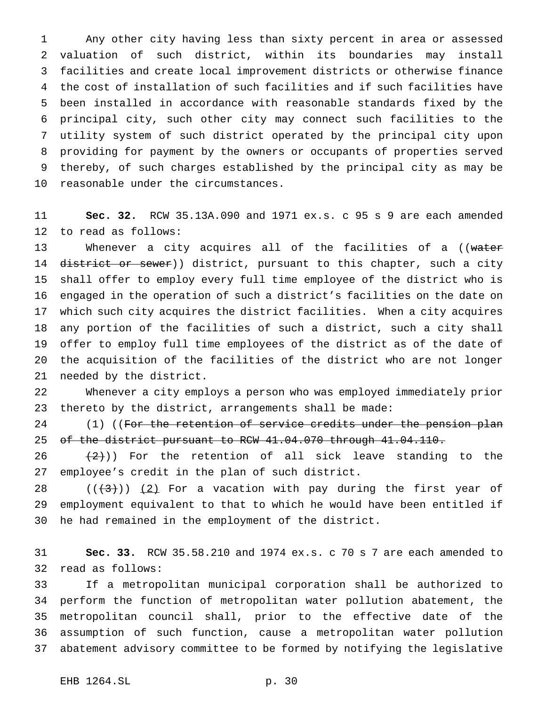Any other city having less than sixty percent in area or assessed valuation of such district, within its boundaries may install facilities and create local improvement districts or otherwise finance the cost of installation of such facilities and if such facilities have been installed in accordance with reasonable standards fixed by the principal city, such other city may connect such facilities to the utility system of such district operated by the principal city upon providing for payment by the owners or occupants of properties served thereby, of such charges established by the principal city as may be reasonable under the circumstances.

 **Sec. 32.** RCW 35.13A.090 and 1971 ex.s. c 95 s 9 are each amended to read as follows:

13 Whenever a city acquires all of the facilities of a ((water 14 district or sewer)) district, pursuant to this chapter, such a city shall offer to employ every full time employee of the district who is engaged in the operation of such a district's facilities on the date on which such city acquires the district facilities. When a city acquires any portion of the facilities of such a district, such a city shall offer to employ full time employees of the district as of the date of the acquisition of the facilities of the district who are not longer needed by the district.

 Whenever a city employs a person who was employed immediately prior thereto by the district, arrangements shall be made:

24 (1) ((For the retention of service credits under the pension plan of the district pursuant to RCW 41.04.070 through 41.04.110.

 $(2)$ )) For the retention of all sick leave standing to the employee's credit in the plan of such district.

 $((+3))$   $(2)$  For a vacation with pay during the first year of employment equivalent to that to which he would have been entitled if he had remained in the employment of the district.

 **Sec. 33.** RCW 35.58.210 and 1974 ex.s. c 70 s 7 are each amended to read as follows:

 If a metropolitan municipal corporation shall be authorized to perform the function of metropolitan water pollution abatement, the metropolitan council shall, prior to the effective date of the assumption of such function, cause a metropolitan water pollution abatement advisory committee to be formed by notifying the legislative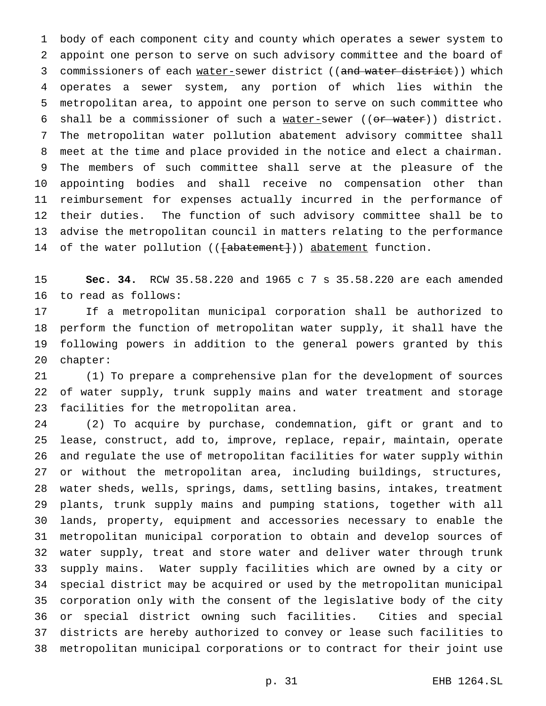body of each component city and county which operates a sewer system to appoint one person to serve on such advisory committee and the board of 3 commissioners of each water-sewer district ((and water district)) which operates a sewer system, any portion of which lies within the metropolitan area, to appoint one person to serve on such committee who 6 shall be a commissioner of such a water-sewer ((or water)) district. The metropolitan water pollution abatement advisory committee shall meet at the time and place provided in the notice and elect a chairman. The members of such committee shall serve at the pleasure of the appointing bodies and shall receive no compensation other than reimbursement for expenses actually incurred in the performance of their duties. The function of such advisory committee shall be to advise the metropolitan council in matters relating to the performance 14 of the water pollution (( $\{\text{abatement}\})$ ) abatement function.

 **Sec. 34.** RCW 35.58.220 and 1965c7s 35.58.220 are each amended to read as follows:

 If a metropolitan municipal corporation shall be authorized to perform the function of metropolitan water supply, it shall have the following powers in addition to the general powers granted by this chapter:

 (1) To prepare a comprehensive plan for the development of sources of water supply, trunk supply mains and water treatment and storage facilities for the metropolitan area.

 (2) To acquire by purchase, condemnation, gift or grant and to lease, construct, add to, improve, replace, repair, maintain, operate and regulate the use of metropolitan facilities for water supply within or without the metropolitan area, including buildings, structures, water sheds, wells, springs, dams, settling basins, intakes, treatment plants, trunk supply mains and pumping stations, together with all lands, property, equipment and accessories necessary to enable the metropolitan municipal corporation to obtain and develop sources of water supply, treat and store water and deliver water through trunk supply mains. Water supply facilities which are owned by a city or special district may be acquired or used by the metropolitan municipal corporation only with the consent of the legislative body of the city or special district owning such facilities. Cities and special districts are hereby authorized to convey or lease such facilities to metropolitan municipal corporations or to contract for their joint use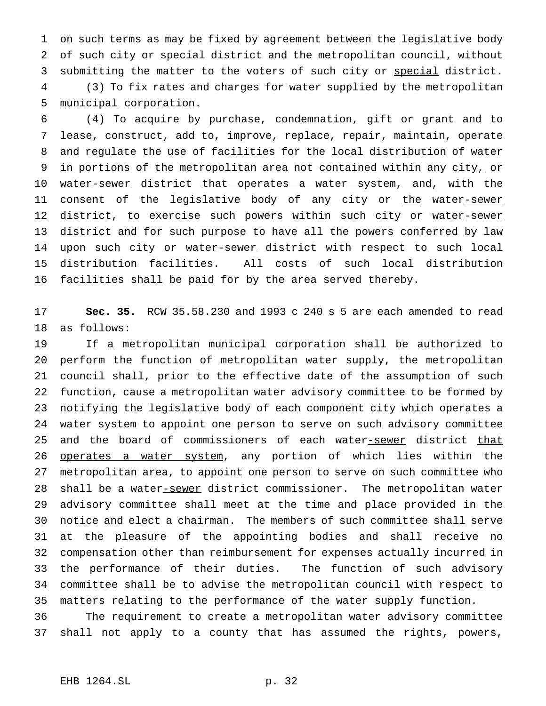on such terms as may be fixed by agreement between the legislative body of such city or special district and the metropolitan council, without submitting the matter to the voters of such city or special district. (3) To fix rates and charges for water supplied by the metropolitan

municipal corporation.

 (4) To acquire by purchase, condemnation, gift or grant and to lease, construct, add to, improve, replace, repair, maintain, operate and regulate the use of facilities for the local distribution of water 9 in portions of the metropolitan area not contained within any city, or 10 water-sewer district that operates a water system, and, with the 11 consent of the legislative body of any city or the water-sewer 12 district, to exercise such powers within such city or water-sewer district and for such purpose to have all the powers conferred by law 14 upon such city or water-sewer district with respect to such local distribution facilities. All costs of such local distribution facilities shall be paid for by the area served thereby.

 **Sec. 35.** RCW 35.58.230 and 1993 c 240 s 5 are each amended to read as follows:

 If a metropolitan municipal corporation shall be authorized to perform the function of metropolitan water supply, the metropolitan council shall, prior to the effective date of the assumption of such function, cause a metropolitan water advisory committee to be formed by notifying the legislative body of each component city which operates a water system to appoint one person to serve on such advisory committee 25 and the board of commissioners of each water-sewer district that 26 operates a water system, any portion of which lies within the metropolitan area, to appoint one person to serve on such committee who 28 shall be a water-sewer district commissioner. The metropolitan water advisory committee shall meet at the time and place provided in the notice and elect a chairman. The members of such committee shall serve at the pleasure of the appointing bodies and shall receive no compensation other than reimbursement for expenses actually incurred in the performance of their duties. The function of such advisory committee shall be to advise the metropolitan council with respect to matters relating to the performance of the water supply function.

 The requirement to create a metropolitan water advisory committee shall not apply to a county that has assumed the rights, powers,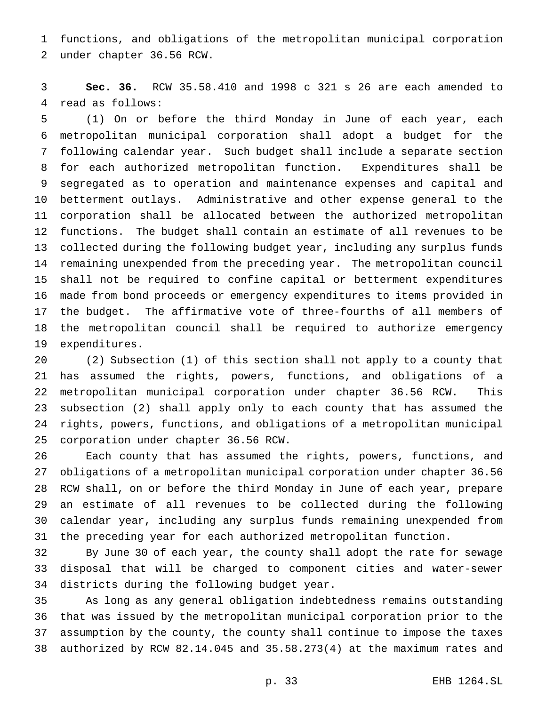functions, and obligations of the metropolitan municipal corporation under chapter 36.56 RCW.

 **Sec. 36.** RCW 35.58.410 and 1998 c 321 s 26 are each amended to read as follows:

 (1) On or before the third Monday in June of each year, each metropolitan municipal corporation shall adopt a budget for the following calendar year. Such budget shall include a separate section for each authorized metropolitan function. Expenditures shall be segregated as to operation and maintenance expenses and capital and betterment outlays. Administrative and other expense general to the corporation shall be allocated between the authorized metropolitan functions. The budget shall contain an estimate of all revenues to be collected during the following budget year, including any surplus funds remaining unexpended from the preceding year. The metropolitan council shall not be required to confine capital or betterment expenditures made from bond proceeds or emergency expenditures to items provided in the budget. The affirmative vote of three-fourths of all members of the metropolitan council shall be required to authorize emergency expenditures.

 (2) Subsection (1) of this section shall not apply to a county that has assumed the rights, powers, functions, and obligations of a metropolitan municipal corporation under chapter 36.56 RCW. This subsection (2) shall apply only to each county that has assumed the rights, powers, functions, and obligations of a metropolitan municipal corporation under chapter 36.56 RCW.

 Each county that has assumed the rights, powers, functions, and obligations of a metropolitan municipal corporation under chapter 36.56 RCW shall, on or before the third Monday in June of each year, prepare an estimate of all revenues to be collected during the following calendar year, including any surplus funds remaining unexpended from the preceding year for each authorized metropolitan function.

 By June 30 of each year, the county shall adopt the rate for sewage 33 disposal that will be charged to component cities and water-sewer districts during the following budget year.

 As long as any general obligation indebtedness remains outstanding that was issued by the metropolitan municipal corporation prior to the assumption by the county, the county shall continue to impose the taxes authorized by RCW 82.14.045 and 35.58.273(4) at the maximum rates and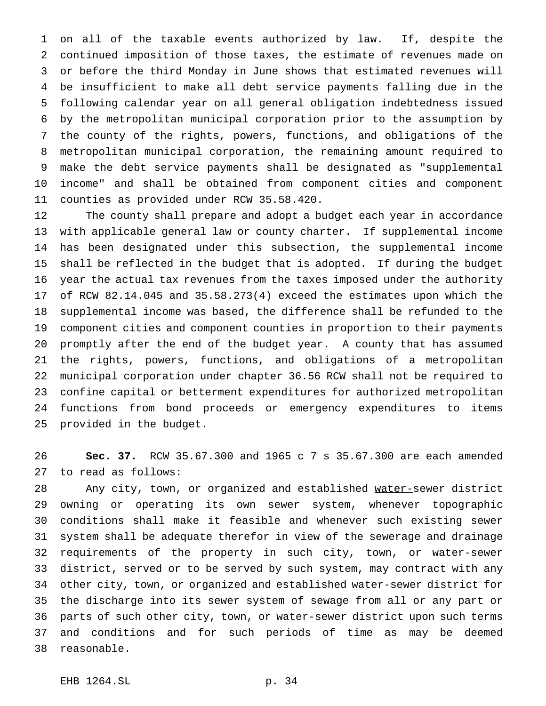on all of the taxable events authorized by law. If, despite the continued imposition of those taxes, the estimate of revenues made on or before the third Monday in June shows that estimated revenues will be insufficient to make all debt service payments falling due in the following calendar year on all general obligation indebtedness issued by the metropolitan municipal corporation prior to the assumption by the county of the rights, powers, functions, and obligations of the metropolitan municipal corporation, the remaining amount required to make the debt service payments shall be designated as "supplemental income" and shall be obtained from component cities and component counties as provided under RCW 35.58.420.

 The county shall prepare and adopt a budget each year in accordance with applicable general law or county charter. If supplemental income has been designated under this subsection, the supplemental income shall be reflected in the budget that is adopted. If during the budget year the actual tax revenues from the taxes imposed under the authority of RCW 82.14.045 and 35.58.273(4) exceed the estimates upon which the supplemental income was based, the difference shall be refunded to the component cities and component counties in proportion to their payments promptly after the end of the budget year. A county that has assumed the rights, powers, functions, and obligations of a metropolitan municipal corporation under chapter 36.56 RCW shall not be required to confine capital or betterment expenditures for authorized metropolitan functions from bond proceeds or emergency expenditures to items provided in the budget.

 **Sec. 37.** RCW 35.67.300 and 1965c7s 35.67.300 are each amended to read as follows:

28 Any city, town, or organized and established water-sewer district owning or operating its own sewer system, whenever topographic conditions shall make it feasible and whenever such existing sewer system shall be adequate therefor in view of the sewerage and drainage 32 requirements of the property in such city, town, or water-sewer district, served or to be served by such system, may contract with any 34 other city, town, or organized and established water-sewer district for the discharge into its sewer system of sewage from all or any part or 36 parts of such other city, town, or water-sewer district upon such terms and conditions and for such periods of time as may be deemed reasonable.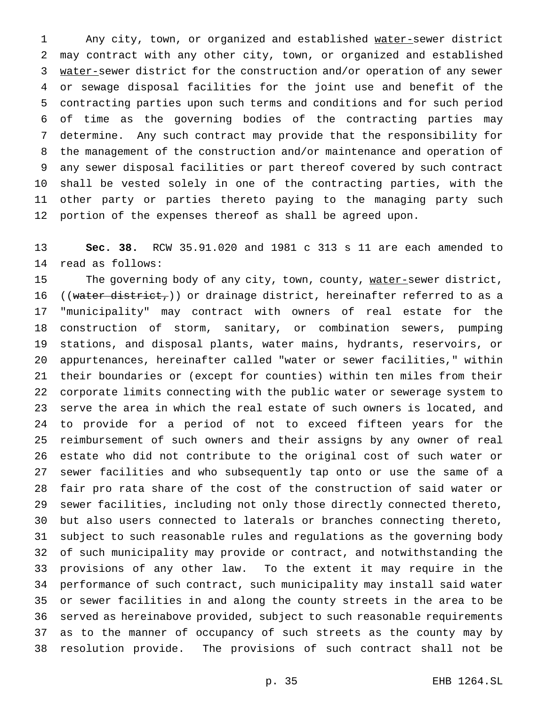1 Any city, town, or organized and established water-sewer district may contract with any other city, town, or organized and established water-sewer district for the construction and/or operation of any sewer or sewage disposal facilities for the joint use and benefit of the contracting parties upon such terms and conditions and for such period of time as the governing bodies of the contracting parties may determine. Any such contract may provide that the responsibility for the management of the construction and/or maintenance and operation of any sewer disposal facilities or part thereof covered by such contract shall be vested solely in one of the contracting parties, with the other party or parties thereto paying to the managing party such portion of the expenses thereof as shall be agreed upon.

 **Sec. 38.** RCW 35.91.020 and 1981 c 313 s 11 are each amended to read as follows:

15 The governing body of any city, town, county, water-sewer district, 16 ((water district,)) or drainage district, hereinafter referred to as a "municipality" may contract with owners of real estate for the construction of storm, sanitary, or combination sewers, pumping stations, and disposal plants, water mains, hydrants, reservoirs, or appurtenances, hereinafter called "water or sewer facilities," within their boundaries or (except for counties) within ten miles from their corporate limits connecting with the public water or sewerage system to serve the area in which the real estate of such owners is located, and to provide for a period of not to exceed fifteen years for the reimbursement of such owners and their assigns by any owner of real estate who did not contribute to the original cost of such water or sewer facilities and who subsequently tap onto or use the same of a fair pro rata share of the cost of the construction of said water or sewer facilities, including not only those directly connected thereto, but also users connected to laterals or branches connecting thereto, subject to such reasonable rules and regulations as the governing body of such municipality may provide or contract, and notwithstanding the provisions of any other law. To the extent it may require in the performance of such contract, such municipality may install said water or sewer facilities in and along the county streets in the area to be served as hereinabove provided, subject to such reasonable requirements as to the manner of occupancy of such streets as the county may by resolution provide. The provisions of such contract shall not be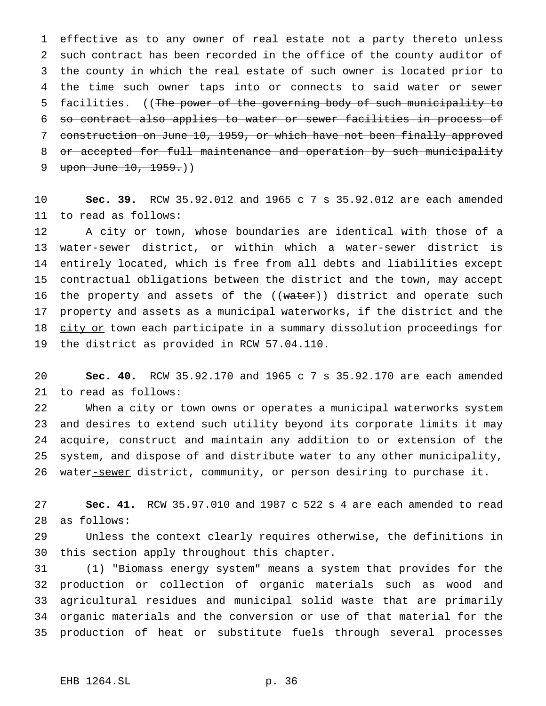effective as to any owner of real estate not a party thereto unless such contract has been recorded in the office of the county auditor of the county in which the real estate of such owner is located prior to the time such owner taps into or connects to said water or sewer facilities. ((The power of the governing body of such municipality to so contract also applies to water or sewer facilities in process of construction on June 10, 1959, or which have not been finally approved 8 or accepted for full maintenance and operation by such municipality 9 upon June 10, 1959.)

 **Sec. 39.** RCW 35.92.012 and 1965c7s 35.92.012 are each amended to read as follows:

12 A city or town, whose boundaries are identical with those of a 13 water-sewer district, or within which a water-sewer district is 14 entirely located, which is free from all debts and liabilities except contractual obligations between the district and the town, may accept 16 the property and assets of the ((water)) district and operate such property and assets as a municipal waterworks, if the district and the 18 city or town each participate in a summary dissolution proceedings for the district as provided in RCW 57.04.110.

 **Sec. 40.** RCW 35.92.170 and 1965c7s 35.92.170 are each amended to read as follows:

 When a city or town owns or operates a municipal waterworks system and desires to extend such utility beyond its corporate limits it may acquire, construct and maintain any addition to or extension of the system, and dispose of and distribute water to any other municipality, 26 water-sewer district, community, or person desiring to purchase it.

 **Sec. 41.** RCW 35.97.010 and 1987 c 522 s 4 are each amended to read as follows:

 Unless the context clearly requires otherwise, the definitions in this section apply throughout this chapter.

 (1) "Biomass energy system" means a system that provides for the production or collection of organic materials such as wood and agricultural residues and municipal solid waste that are primarily organic materials and the conversion or use of that material for the production of heat or substitute fuels through several processes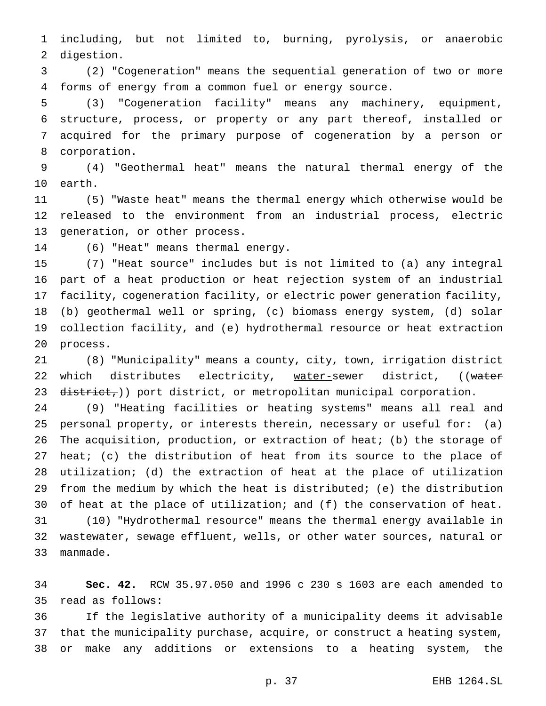including, but not limited to, burning, pyrolysis, or anaerobic digestion.

 (2) "Cogeneration" means the sequential generation of two or more forms of energy from a common fuel or energy source.

 (3) "Cogeneration facility" means any machinery, equipment, structure, process, or property or any part thereof, installed or acquired for the primary purpose of cogeneration by a person or corporation.

 (4) "Geothermal heat" means the natural thermal energy of the earth.

 (5) "Waste heat" means the thermal energy which otherwise would be released to the environment from an industrial process, electric generation, or other process.

(6) "Heat" means thermal energy.

 (7) "Heat source" includes but is not limited to (a) any integral part of a heat production or heat rejection system of an industrial facility, cogeneration facility, or electric power generation facility, (b) geothermal well or spring, (c) biomass energy system, (d) solar collection facility, and (e) hydrothermal resource or heat extraction process.

 (8) "Municipality" means a county, city, town, irrigation district 22 which distributes electricity, water-sewer district, ((water 23  $\text{distribet}_{\tau}$ )) port district, or metropolitan municipal corporation.

 (9) "Heating facilities or heating systems" means all real and personal property, or interests therein, necessary or useful for: (a) The acquisition, production, or extraction of heat; (b) the storage of heat; (c) the distribution of heat from its source to the place of utilization; (d) the extraction of heat at the place of utilization from the medium by which the heat is distributed; (e) the distribution of heat at the place of utilization; and (f) the conservation of heat. (10) "Hydrothermal resource" means the thermal energy available in wastewater, sewage effluent, wells, or other water sources, natural or manmade.

 **Sec. 42.** RCW 35.97.050 and 1996 c 230 s 1603 are each amended to read as follows:

 If the legislative authority of a municipality deems it advisable that the municipality purchase, acquire, or construct a heating system, or make any additions or extensions to a heating system, the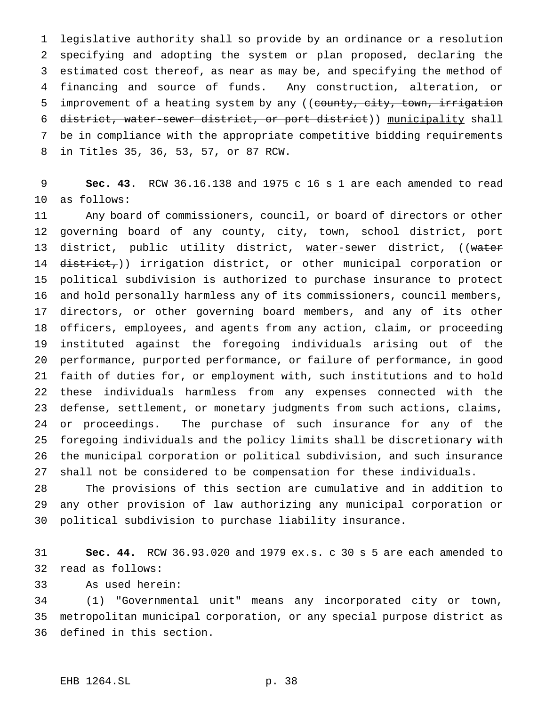legislative authority shall so provide by an ordinance or a resolution specifying and adopting the system or plan proposed, declaring the estimated cost thereof, as near as may be, and specifying the method of financing and source of funds. Any construction, alteration, or 5 improvement of a heating system by any ((county, city, town, irrigation district, water-sewer district, or port district)) municipality shall be in compliance with the appropriate competitive bidding requirements in Titles 35, 36, 53, 57, or 87 RCW.

 **Sec. 43.** RCW 36.16.138 and 1975 c 16 s 1 are each amended to read as follows:

 Any board of commissioners, council, or board of directors or other governing board of any county, city, town, school district, port 13 district, public utility district, water-sewer district, ((water 14 district,)) irrigation district, or other municipal corporation or political subdivision is authorized to purchase insurance to protect and hold personally harmless any of its commissioners, council members, directors, or other governing board members, and any of its other officers, employees, and agents from any action, claim, or proceeding instituted against the foregoing individuals arising out of the performance, purported performance, or failure of performance, in good faith of duties for, or employment with, such institutions and to hold these individuals harmless from any expenses connected with the defense, settlement, or monetary judgments from such actions, claims, or proceedings. The purchase of such insurance for any of the foregoing individuals and the policy limits shall be discretionary with the municipal corporation or political subdivision, and such insurance shall not be considered to be compensation for these individuals.

 The provisions of this section are cumulative and in addition to any other provision of law authorizing any municipal corporation or political subdivision to purchase liability insurance.

 **Sec. 44.** RCW 36.93.020 and 1979 ex.s. c 30 s 5 are each amended to read as follows:

As used herein:

 (1) "Governmental unit" means any incorporated city or town, metropolitan municipal corporation, or any special purpose district as defined in this section.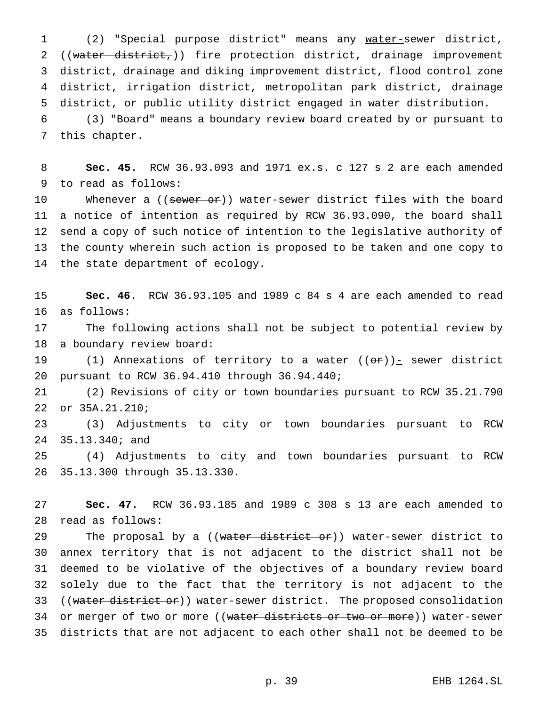(2) "Special purpose district" means any water-sewer district, 2 ((water district,)) fire protection district, drainage improvement district, drainage and diking improvement district, flood control zone district, irrigation district, metropolitan park district, drainage district, or public utility district engaged in water distribution.

 (3) "Board" means a boundary review board created by or pursuant to this chapter.

 **Sec. 45.** RCW 36.93.093 and 1971 ex.s. c 127 s 2 are each amended to read as follows:

10 Whenever a ((sewer or)) water-sewer district files with the board a notice of intention as required by RCW 36.93.090, the board shall send a copy of such notice of intention to the legislative authority of the county wherein such action is proposed to be taken and one copy to the state department of ecology.

 **Sec. 46.** RCW 36.93.105 and 1989 c 84 s 4 are each amended to read as follows:

 The following actions shall not be subject to potential review by a boundary review board:

19 (1) Annexations of territory to a water  $((\Theta \hat{r}))_0$  sewer district pursuant to RCW 36.94.410 through 36.94.440;

 (2) Revisions of city or town boundaries pursuant to RCW 35.21.790 or 35A.21.210;

 (3) Adjustments to city or town boundaries pursuant to RCW 35.13.340; and

 (4) Adjustments to city and town boundaries pursuant to RCW 35.13.300 through 35.13.330.

 **Sec. 47.** RCW 36.93.185 and 1989 c 308 s 13 are each amended to read as follows:

29 The proposal by a ((water district or)) water-sewer district to annex territory that is not adjacent to the district shall not be deemed to be violative of the objectives of a boundary review board solely due to the fact that the territory is not adjacent to the 33 ((water district or)) water-sewer district. The proposed consolidation 34 or merger of two or more ((water districts or two or more)) water-sewer districts that are not adjacent to each other shall not be deemed to be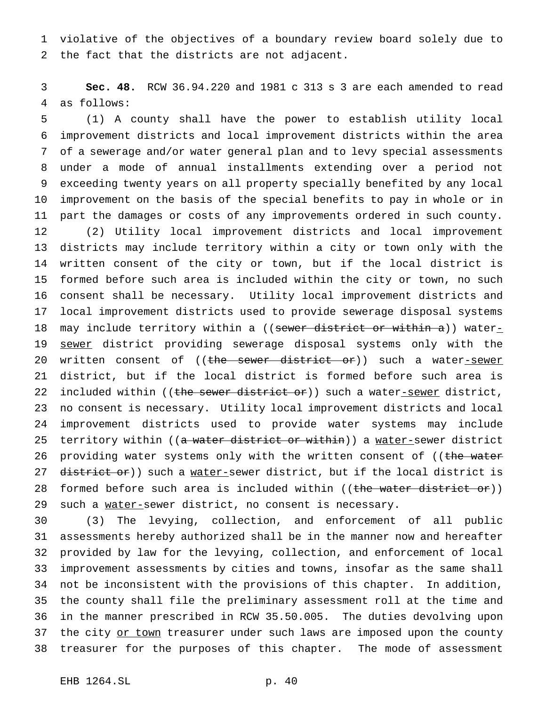violative of the objectives of a boundary review board solely due to the fact that the districts are not adjacent.

 **Sec. 48.** RCW 36.94.220 and 1981 c 313 s 3 are each amended to read as follows:

 (1) A county shall have the power to establish utility local improvement districts and local improvement districts within the area of a sewerage and/or water general plan and to levy special assessments under a mode of annual installments extending over a period not exceeding twenty years on all property specially benefited by any local improvement on the basis of the special benefits to pay in whole or in part the damages or costs of any improvements ordered in such county. (2) Utility local improvement districts and local improvement districts may include territory within a city or town only with the written consent of the city or town, but if the local district is formed before such area is included within the city or town, no such consent shall be necessary. Utility local improvement districts and local improvement districts used to provide sewerage disposal systems 18 may include territory within a ((sewer district or within a)) water-19 sewer district providing sewerage disposal systems only with the 20 written consent of ((the sewer district or)) such a water-sewer district, but if the local district is formed before such area is 22 included within ((the sewer district or)) such a water-sewer district, no consent is necessary. Utility local improvement districts and local improvement districts used to provide water systems may include 25 territory within ((a water district or within)) a water-sewer district 26 providing water systems only with the written consent of ((the water 27 district or)) such a water-sewer district, but if the local district is 28 formed before such area is included within ((the water district or)) 29 such a water-sewer district, no consent is necessary.

 (3) The levying, collection, and enforcement of all public assessments hereby authorized shall be in the manner now and hereafter provided by law for the levying, collection, and enforcement of local improvement assessments by cities and towns, insofar as the same shall not be inconsistent with the provisions of this chapter. In addition, the county shall file the preliminary assessment roll at the time and in the manner prescribed in RCW 35.50.005. The duties devolving upon 37 the city or town treasurer under such laws are imposed upon the county treasurer for the purposes of this chapter. The mode of assessment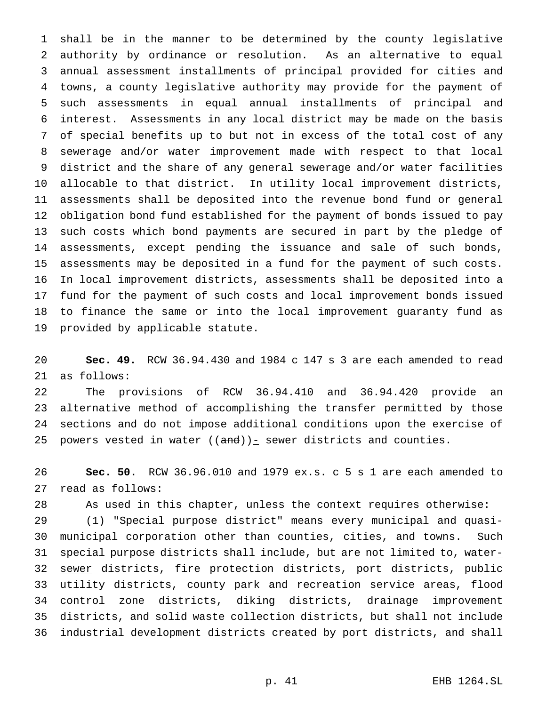shall be in the manner to be determined by the county legislative authority by ordinance or resolution. As an alternative to equal annual assessment installments of principal provided for cities and towns, a county legislative authority may provide for the payment of such assessments in equal annual installments of principal and interest. Assessments in any local district may be made on the basis of special benefits up to but not in excess of the total cost of any sewerage and/or water improvement made with respect to that local district and the share of any general sewerage and/or water facilities allocable to that district. In utility local improvement districts, assessments shall be deposited into the revenue bond fund or general obligation bond fund established for the payment of bonds issued to pay such costs which bond payments are secured in part by the pledge of assessments, except pending the issuance and sale of such bonds, assessments may be deposited in a fund for the payment of such costs. In local improvement districts, assessments shall be deposited into a fund for the payment of such costs and local improvement bonds issued to finance the same or into the local improvement guaranty fund as provided by applicable statute.

 **Sec. 49.** RCW 36.94.430 and 1984 c 147 s 3 are each amended to read as follows:

 The provisions of RCW 36.94.410 and 36.94.420 provide an alternative method of accomplishing the transfer permitted by those sections and do not impose additional conditions upon the exercise of 25 powers vested in water  $((and))_{\text{I}}$  sewer districts and counties.

 **Sec. 50.** RCW 36.96.010 and 1979 ex.s. c 5 s 1 are each amended to read as follows:

As used in this chapter, unless the context requires otherwise:

 (1) "Special purpose district" means every municipal and quasi- municipal corporation other than counties, cities, and towns. Such 31 special purpose districts shall include, but are not limited to, water $_-\,$ 32 sewer districts, fire protection districts, port districts, public utility districts, county park and recreation service areas, flood control zone districts, diking districts, drainage improvement districts, and solid waste collection districts, but shall not include industrial development districts created by port districts, and shall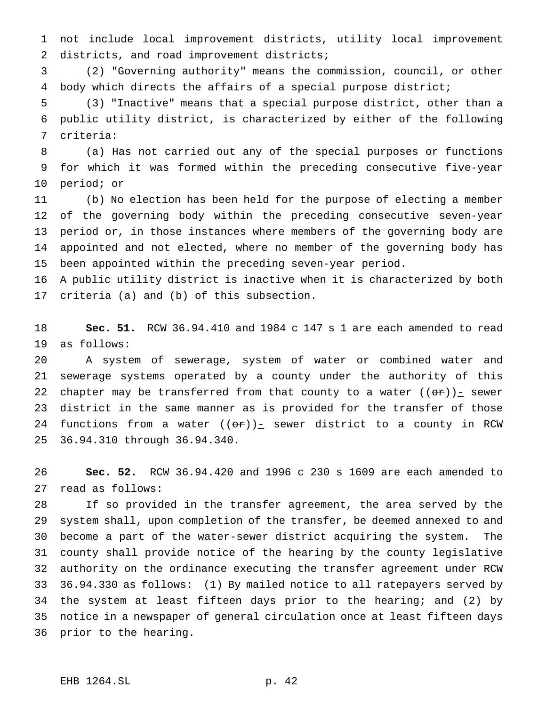not include local improvement districts, utility local improvement 2 districts, and road improvement districts;

 (2) "Governing authority" means the commission, council, or other body which directs the affairs of a special purpose district;

 (3) "Inactive" means that a special purpose district, other than a public utility district, is characterized by either of the following criteria:

 (a) Has not carried out any of the special purposes or functions for which it was formed within the preceding consecutive five-year period; or

 (b) No election has been held for the purpose of electing a member of the governing body within the preceding consecutive seven-year period or, in those instances where members of the governing body are appointed and not elected, where no member of the governing body has been appointed within the preceding seven-year period.

 A public utility district is inactive when it is characterized by both criteria (a) and (b) of this subsection.

 **Sec. 51.** RCW 36.94.410 and 1984 c 147 s 1 are each amended to read as follows:

 A system of sewerage, system of water or combined water and sewerage systems operated by a county under the authority of this 22 chapter may be transferred from that county to a water  $((\theta \cdot \tau))_{\tau}$  sewer district in the same manner as is provided for the transfer of those 24 functions from a water  $((\Theta \hat{r}))_{\square}$  sewer district to a county in RCW 36.94.310 through 36.94.340.

 **Sec. 52.** RCW 36.94.420 and 1996 c 230 s 1609 are each amended to read as follows:

 If so provided in the transfer agreement, the area served by the system shall, upon completion of the transfer, be deemed annexed to and become a part of the water-sewer district acquiring the system. The county shall provide notice of the hearing by the county legislative authority on the ordinance executing the transfer agreement under RCW 36.94.330 as follows: (1) By mailed notice to all ratepayers served by the system at least fifteen days prior to the hearing; and (2) by notice in a newspaper of general circulation once at least fifteen days prior to the hearing.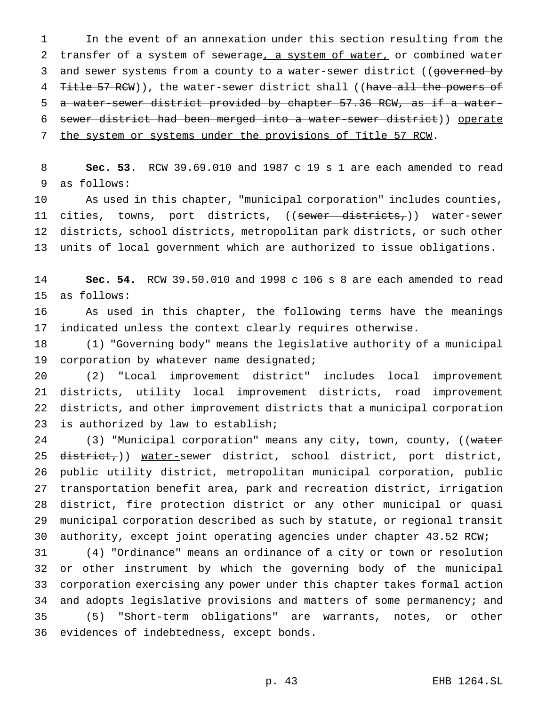In the event of an annexation under this section resulting from the 2 transfer of a system of sewerage, a system of water, or combined water 3 and sewer systems from a county to a water-sewer district ((governed by 4 Title 57 RCW)), the water-sewer district shall ((have all the powers of a water-sewer district provided by chapter 57.36 RCW, as if a water- sewer district had been merged into a water-sewer district)) operate 7 the system or systems under the provisions of Title 57 RCW.

 **Sec. 53.** RCW 39.69.010 and 1987 c 19 s 1 are each amended to read as follows:

 As used in this chapter, "municipal corporation" includes counties, 11 cities, towns, port districts, ((sewer districts,)) water-sewer districts, school districts, metropolitan park districts, or such other units of local government which are authorized to issue obligations.

 **Sec. 54.** RCW 39.50.010 and 1998 c 106 s 8 are each amended to read as follows:

 As used in this chapter, the following terms have the meanings indicated unless the context clearly requires otherwise.

 (1) "Governing body" means the legislative authority of a municipal 19 corporation by whatever name designated;

 (2) "Local improvement district" includes local improvement districts, utility local improvement districts, road improvement districts, and other improvement districts that a municipal corporation is authorized by law to establish;

24 (3) "Municipal corporation" means any city, town, county, ((water 25 district,)) water-sewer district, school district, port district, public utility district, metropolitan municipal corporation, public transportation benefit area, park and recreation district, irrigation district, fire protection district or any other municipal or quasi municipal corporation described as such by statute, or regional transit authority, except joint operating agencies under chapter 43.52 RCW;

 (4) "Ordinance" means an ordinance of a city or town or resolution or other instrument by which the governing body of the municipal corporation exercising any power under this chapter takes formal action and adopts legislative provisions and matters of some permanency; and (5) "Short-term obligations" are warrants, notes, or other evidences of indebtedness, except bonds.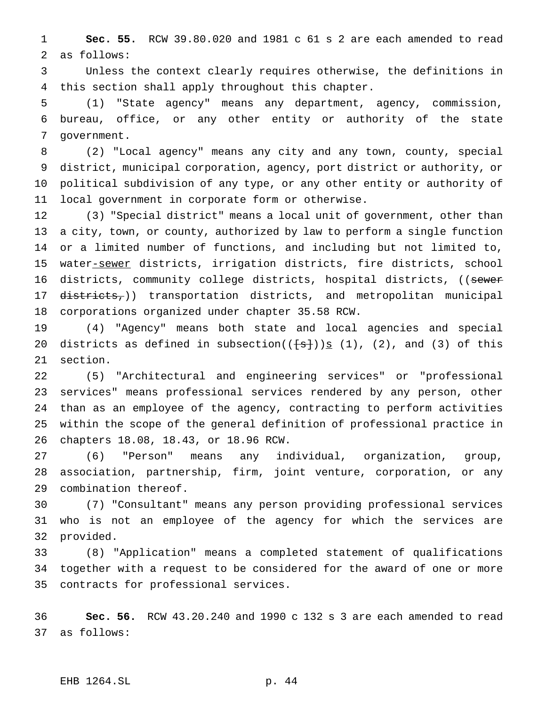**Sec. 55.** RCW 39.80.020 and 1981 c 61 s 2 are each amended to read as follows:

 Unless the context clearly requires otherwise, the definitions in this section shall apply throughout this chapter.

 (1) "State agency" means any department, agency, commission, bureau, office, or any other entity or authority of the state government.

 (2) "Local agency" means any city and any town, county, special district, municipal corporation, agency, port district or authority, or political subdivision of any type, or any other entity or authority of local government in corporate form or otherwise.

 (3) "Special district" means a local unit of government, other than a city, town, or county, authorized by law to perform a single function or a limited number of functions, and including but not limited to, 15 water-sewer districts, irrigation districts, fire districts, school 16 districts, community college districts, hospital districts, ((sewer 17 districts,)) transportation districts, and metropolitan municipal corporations organized under chapter 35.58 RCW.

 (4) "Agency" means both state and local agencies and special 20 districts as defined in subsection( $(\pm s)$ )  $\leq$  (1), (2), and (3) of this section.

 (5) "Architectural and engineering services" or "professional services" means professional services rendered by any person, other than as an employee of the agency, contracting to perform activities within the scope of the general definition of professional practice in chapters 18.08, 18.43, or 18.96 RCW.

 (6) "Person" means any individual, organization, group, association, partnership, firm, joint venture, corporation, or any combination thereof.

 (7) "Consultant" means any person providing professional services who is not an employee of the agency for which the services are provided.

 (8) "Application" means a completed statement of qualifications together with a request to be considered for the award of one or more contracts for professional services.

 **Sec. 56.** RCW 43.20.240 and 1990 c 132 s 3 are each amended to read as follows:

### EHB 1264.SL p. 44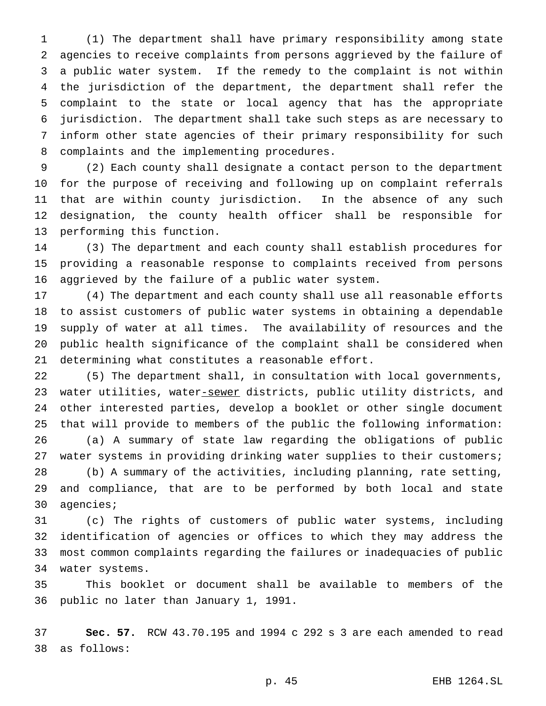(1) The department shall have primary responsibility among state agencies to receive complaints from persons aggrieved by the failure of a public water system. If the remedy to the complaint is not within the jurisdiction of the department, the department shall refer the complaint to the state or local agency that has the appropriate jurisdiction. The department shall take such steps as are necessary to inform other state agencies of their primary responsibility for such complaints and the implementing procedures.

 (2) Each county shall designate a contact person to the department for the purpose of receiving and following up on complaint referrals that are within county jurisdiction. In the absence of any such designation, the county health officer shall be responsible for performing this function.

 (3) The department and each county shall establish procedures for providing a reasonable response to complaints received from persons aggrieved by the failure of a public water system.

 (4) The department and each county shall use all reasonable efforts to assist customers of public water systems in obtaining a dependable supply of water at all times. The availability of resources and the public health significance of the complaint shall be considered when determining what constitutes a reasonable effort.

 (5) The department shall, in consultation with local governments, 23 water utilities, water-sewer districts, public utility districts, and other interested parties, develop a booklet or other single document that will provide to members of the public the following information:

 (a) A summary of state law regarding the obligations of public water systems in providing drinking water supplies to their customers;

 (b) A summary of the activities, including planning, rate setting, and compliance, that are to be performed by both local and state agencies;

 (c) The rights of customers of public water systems, including identification of agencies or offices to which they may address the most common complaints regarding the failures or inadequacies of public water systems.

 This booklet or document shall be available to members of the public no later than January 1, 1991.

 **Sec. 57.** RCW 43.70.195 and 1994 c 292 s 3 are each amended to read as follows: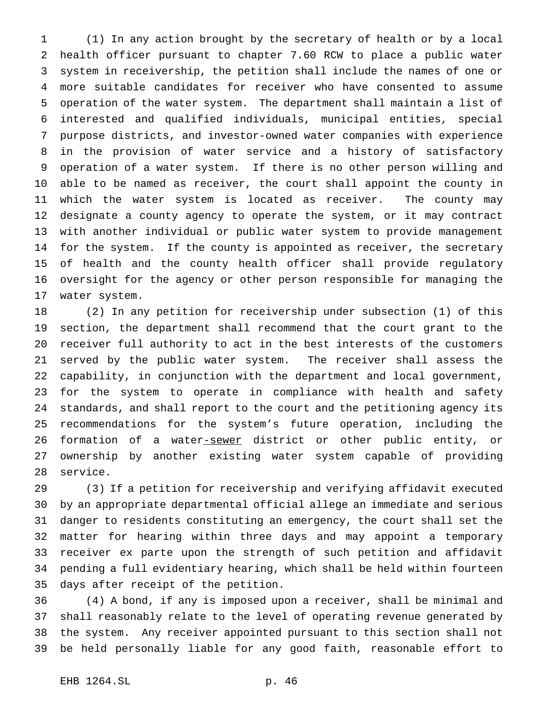(1) In any action brought by the secretary of health or by a local health officer pursuant to chapter 7.60 RCW to place a public water system in receivership, the petition shall include the names of one or more suitable candidates for receiver who have consented to assume operation of the water system. The department shall maintain a list of interested and qualified individuals, municipal entities, special purpose districts, and investor-owned water companies with experience in the provision of water service and a history of satisfactory operation of a water system. If there is no other person willing and able to be named as receiver, the court shall appoint the county in which the water system is located as receiver. The county may designate a county agency to operate the system, or it may contract with another individual or public water system to provide management for the system. If the county is appointed as receiver, the secretary of health and the county health officer shall provide regulatory oversight for the agency or other person responsible for managing the water system.

 (2) In any petition for receivership under subsection (1) of this section, the department shall recommend that the court grant to the receiver full authority to act in the best interests of the customers served by the public water system. The receiver shall assess the capability, in conjunction with the department and local government, for the system to operate in compliance with health and safety standards, and shall report to the court and the petitioning agency its recommendations for the system's future operation, including the 26 formation of a water-sewer district or other public entity, or ownership by another existing water system capable of providing service.

 (3) If a petition for receivership and verifying affidavit executed by an appropriate departmental official allege an immediate and serious danger to residents constituting an emergency, the court shall set the matter for hearing within three days and may appoint a temporary receiver ex parte upon the strength of such petition and affidavit pending a full evidentiary hearing, which shall be held within fourteen days after receipt of the petition.

 (4) A bond, if any is imposed upon a receiver, shall be minimal and shall reasonably relate to the level of operating revenue generated by the system. Any receiver appointed pursuant to this section shall not be held personally liable for any good faith, reasonable effort to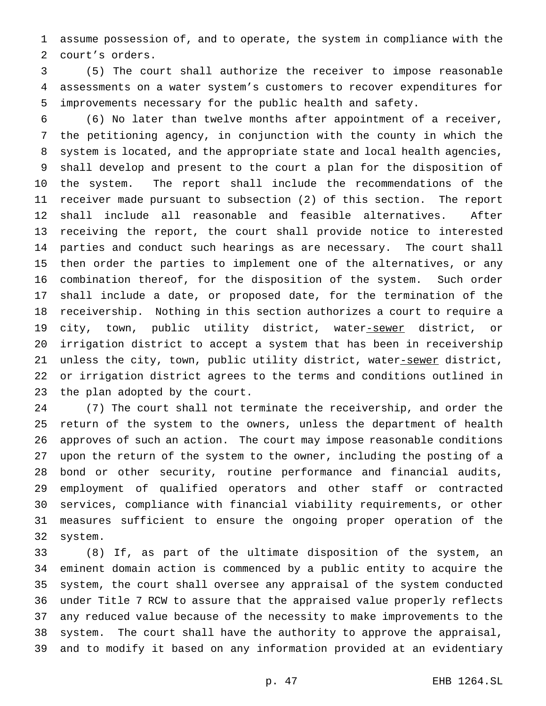assume possession of, and to operate, the system in compliance with the court's orders.

 (5) The court shall authorize the receiver to impose reasonable assessments on a water system's customers to recover expenditures for improvements necessary for the public health and safety.

 (6) No later than twelve months after appointment of a receiver, the petitioning agency, in conjunction with the county in which the system is located, and the appropriate state and local health agencies, shall develop and present to the court a plan for the disposition of the system. The report shall include the recommendations of the receiver made pursuant to subsection (2) of this section. The report shall include all reasonable and feasible alternatives. After receiving the report, the court shall provide notice to interested parties and conduct such hearings as are necessary. The court shall then order the parties to implement one of the alternatives, or any combination thereof, for the disposition of the system. Such order shall include a date, or proposed date, for the termination of the receivership. Nothing in this section authorizes a court to require a 19 city, town, public utility district, water-sewer district, or irrigation district to accept a system that has been in receivership 21 unless the city, town, public utility district, water-sewer district, or irrigation district agrees to the terms and conditions outlined in the plan adopted by the court.

 (7) The court shall not terminate the receivership, and order the return of the system to the owners, unless the department of health approves of such an action. The court may impose reasonable conditions upon the return of the system to the owner, including the posting of a bond or other security, routine performance and financial audits, employment of qualified operators and other staff or contracted services, compliance with financial viability requirements, or other measures sufficient to ensure the ongoing proper operation of the system.

 (8) If, as part of the ultimate disposition of the system, an eminent domain action is commenced by a public entity to acquire the system, the court shall oversee any appraisal of the system conducted under Title 7 RCW to assure that the appraised value properly reflects any reduced value because of the necessity to make improvements to the system. The court shall have the authority to approve the appraisal, and to modify it based on any information provided at an evidentiary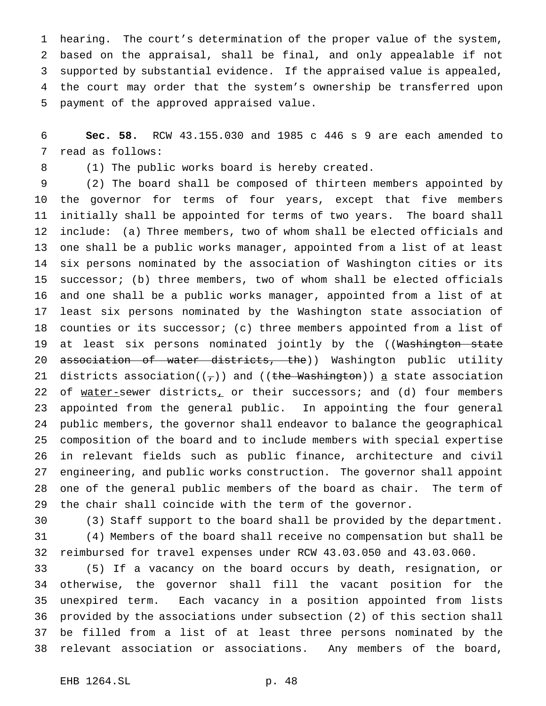hearing. The court's determination of the proper value of the system, based on the appraisal, shall be final, and only appealable if not supported by substantial evidence. If the appraised value is appealed, the court may order that the system's ownership be transferred upon payment of the approved appraised value.

 **Sec. 58.** RCW 43.155.030 and 1985 c 446 s 9 are each amended to read as follows:

(1) The public works board is hereby created.

 (2) The board shall be composed of thirteen members appointed by the governor for terms of four years, except that five members initially shall be appointed for terms of two years. The board shall include: (a) Three members, two of whom shall be elected officials and one shall be a public works manager, appointed from a list of at least six persons nominated by the association of Washington cities or its successor; (b) three members, two of whom shall be elected officials and one shall be a public works manager, appointed from a list of at least six persons nominated by the Washington state association of counties or its successor; (c) three members appointed from a list of 19 at least six persons nominated jointly by the ((Washington state 20 association of water districts, the)) Washington public utility 21 districts association( $(\tau)$ ) and ((the Washington)) a state association 22 of water-sewer districts, or their successors; and (d) four members appointed from the general public. In appointing the four general public members, the governor shall endeavor to balance the geographical composition of the board and to include members with special expertise in relevant fields such as public finance, architecture and civil engineering, and public works construction. The governor shall appoint one of the general public members of the board as chair. The term of the chair shall coincide with the term of the governor.

 (3) Staff support to the board shall be provided by the department. (4) Members of the board shall receive no compensation but shall be reimbursed for travel expenses under RCW 43.03.050 and 43.03.060.

 (5) If a vacancy on the board occurs by death, resignation, or otherwise, the governor shall fill the vacant position for the unexpired term. Each vacancy in a position appointed from lists provided by the associations under subsection (2) of this section shall be filled from a list of at least three persons nominated by the relevant association or associations. Any members of the board,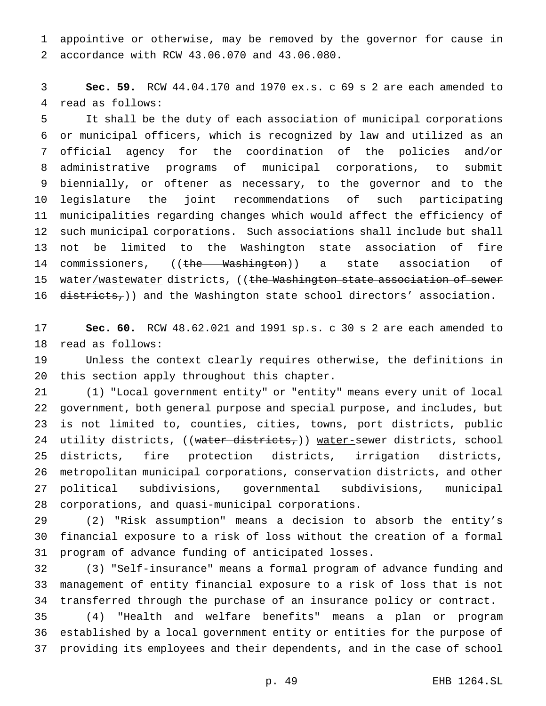appointive or otherwise, may be removed by the governor for cause in accordance with RCW 43.06.070 and 43.06.080.

 **Sec. 59.** RCW 44.04.170 and 1970 ex.s. c 69 s 2 are each amended to read as follows:

 It shall be the duty of each association of municipal corporations or municipal officers, which is recognized by law and utilized as an official agency for the coordination of the policies and/or administrative programs of municipal corporations, to submit biennially, or oftener as necessary, to the governor and to the legislature the joint recommendations of such participating municipalities regarding changes which would affect the efficiency of such municipal corporations. Such associations shall include but shall not be limited to the Washington state association of fire 14 commissioners, ((the Washington)) a state association of 15 water/wastewater districts, ((the Washington state association of sewer 16 districts,)) and the Washington state school directors' association.

 **Sec. 60.** RCW 48.62.021 and 1991 sp.s. c 30 s 2 are each amended to read as follows:

 Unless the context clearly requires otherwise, the definitions in this section apply throughout this chapter.

 (1) "Local government entity" or "entity" means every unit of local government, both general purpose and special purpose, and includes, but is not limited to, counties, cities, towns, port districts, public 24 utility districts, ((water districts,)) water-sewer districts, school districts, fire protection districts, irrigation districts, metropolitan municipal corporations, conservation districts, and other political subdivisions, governmental subdivisions, municipal corporations, and quasi-municipal corporations.

 (2) "Risk assumption" means a decision to absorb the entity's financial exposure to a risk of loss without the creation of a formal program of advance funding of anticipated losses.

 (3) "Self-insurance" means a formal program of advance funding and management of entity financial exposure to a risk of loss that is not transferred through the purchase of an insurance policy or contract.

 (4) "Health and welfare benefits" means a plan or program established by a local government entity or entities for the purpose of providing its employees and their dependents, and in the case of school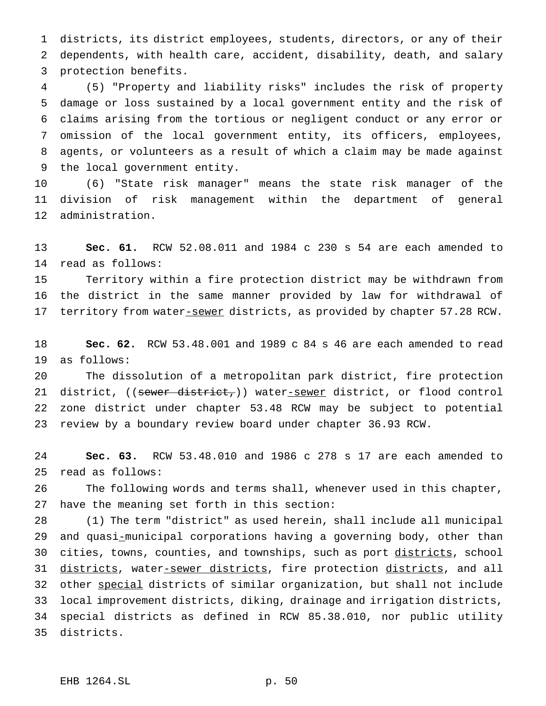districts, its district employees, students, directors, or any of their dependents, with health care, accident, disability, death, and salary protection benefits.

 (5) "Property and liability risks" includes the risk of property damage or loss sustained by a local government entity and the risk of claims arising from the tortious or negligent conduct or any error or omission of the local government entity, its officers, employees, agents, or volunteers as a result of which a claim may be made against the local government entity.

 (6) "State risk manager" means the state risk manager of the division of risk management within the department of general administration.

 **Sec. 61.** RCW 52.08.011 and 1984 c 230 s 54 are each amended to read as follows:

 Territory within a fire protection district may be withdrawn from the district in the same manner provided by law for withdrawal of 17 territory from water-sewer districts, as provided by chapter 57.28 RCW.

 **Sec. 62.** RCW 53.48.001 and 1989 c 84 s 46 are each amended to read as follows:

 The dissolution of a metropolitan park district, fire protection 21 district, ((sewer district,)) water-sewer district, or flood control zone district under chapter 53.48 RCW may be subject to potential review by a boundary review board under chapter 36.93 RCW.

 **Sec. 63.** RCW 53.48.010 and 1986 c 278 s 17 are each amended to read as follows:

 The following words and terms shall, whenever used in this chapter, have the meaning set forth in this section:

 (1) The term "district" as used herein, shall include all municipal 29 and quasi-municipal corporations having a governing body, other than 30 cities, towns, counties, and townships, such as port districts, school 31 districts, water-sewer districts, fire protection districts, and all other special districts of similar organization, but shall not include local improvement districts, diking, drainage and irrigation districts, special districts as defined in RCW 85.38.010, nor public utility districts.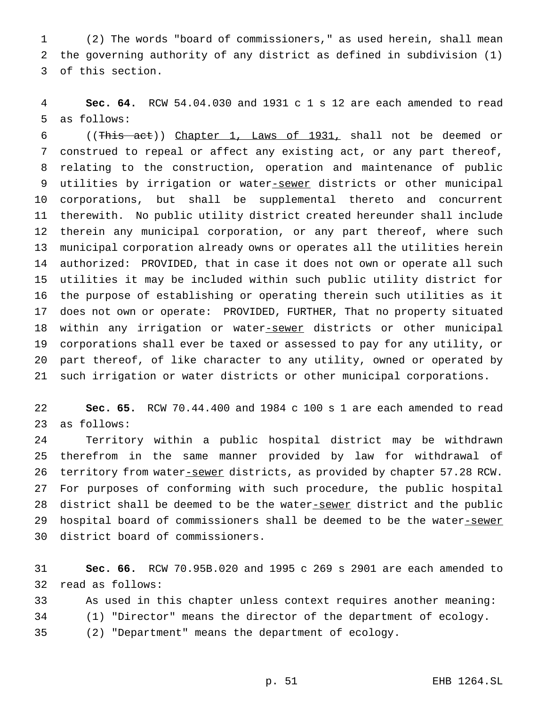(2) The words "board of commissioners," as used herein, shall mean the governing authority of any district as defined in subdivision (1) of this section.

 **Sec. 64.** RCW 54.04.030 and 1931 c 1 s 12 are each amended to read as follows:

 ((This act)) Chapter 1, Laws of 1931, shall not be deemed or construed to repeal or affect any existing act, or any part thereof, relating to the construction, operation and maintenance of public 9 utilities by irrigation or water-sewer districts or other municipal corporations, but shall be supplemental thereto and concurrent therewith. No public utility district created hereunder shall include therein any municipal corporation, or any part thereof, where such municipal corporation already owns or operates all the utilities herein authorized: PROVIDED, that in case it does not own or operate all such utilities it may be included within such public utility district for the purpose of establishing or operating therein such utilities as it does not own or operate: PROVIDED, FURTHER, That no property situated 18 within any irrigation or water-sewer districts or other municipal corporations shall ever be taxed or assessed to pay for any utility, or part thereof, of like character to any utility, owned or operated by such irrigation or water districts or other municipal corporations.

 **Sec. 65.** RCW 70.44.400 and 1984 c 100 s 1 are each amended to read as follows:

 Territory within a public hospital district may be withdrawn therefrom in the same manner provided by law for withdrawal of 26 territory from water-sewer districts, as provided by chapter 57.28 RCW. For purposes of conforming with such procedure, the public hospital 28 district shall be deemed to be the water-sewer district and the public 29 hospital board of commissioners shall be deemed to be the water-sewer district board of commissioners.

 **Sec. 66.** RCW 70.95B.020 and 1995 c 269 s 2901 are each amended to read as follows:

 As used in this chapter unless context requires another meaning: (1) "Director" means the director of the department of ecology. (2) "Department" means the department of ecology.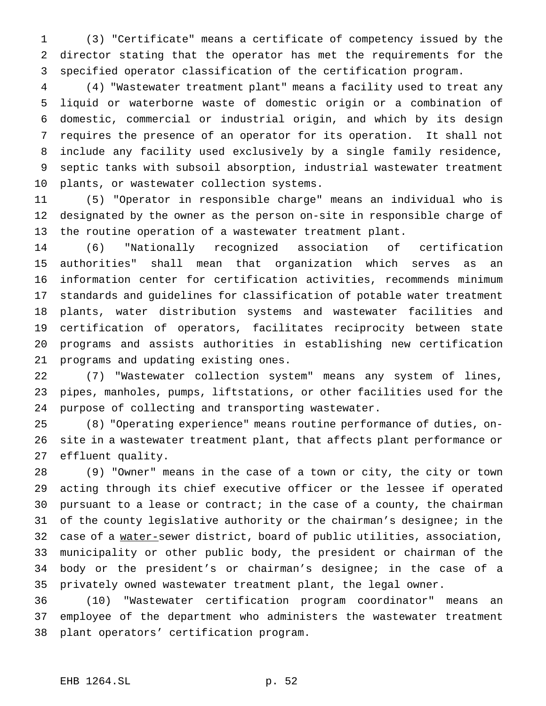(3) "Certificate" means a certificate of competency issued by the director stating that the operator has met the requirements for the specified operator classification of the certification program.

 (4) "Wastewater treatment plant" means a facility used to treat any liquid or waterborne waste of domestic origin or a combination of domestic, commercial or industrial origin, and which by its design requires the presence of an operator for its operation. It shall not include any facility used exclusively by a single family residence, septic tanks with subsoil absorption, industrial wastewater treatment plants, or wastewater collection systems.

 (5) "Operator in responsible charge" means an individual who is designated by the owner as the person on-site in responsible charge of the routine operation of a wastewater treatment plant.

 (6) "Nationally recognized association of certification authorities" shall mean that organization which serves as an information center for certification activities, recommends minimum standards and guidelines for classification of potable water treatment plants, water distribution systems and wastewater facilities and certification of operators, facilitates reciprocity between state programs and assists authorities in establishing new certification programs and updating existing ones.

 (7) "Wastewater collection system" means any system of lines, pipes, manholes, pumps, liftstations, or other facilities used for the purpose of collecting and transporting wastewater.

 (8) "Operating experience" means routine performance of duties, on- site in a wastewater treatment plant, that affects plant performance or effluent quality.

 (9) "Owner" means in the case of a town or city, the city or town acting through its chief executive officer or the lessee if operated pursuant to a lease or contract; in the case of a county, the chairman of the county legislative authority or the chairman's designee; in the 32 case of a water-sewer district, board of public utilities, association, municipality or other public body, the president or chairman of the body or the president's or chairman's designee; in the case of a privately owned wastewater treatment plant, the legal owner.

 (10) "Wastewater certification program coordinator" means an employee of the department who administers the wastewater treatment plant operators' certification program.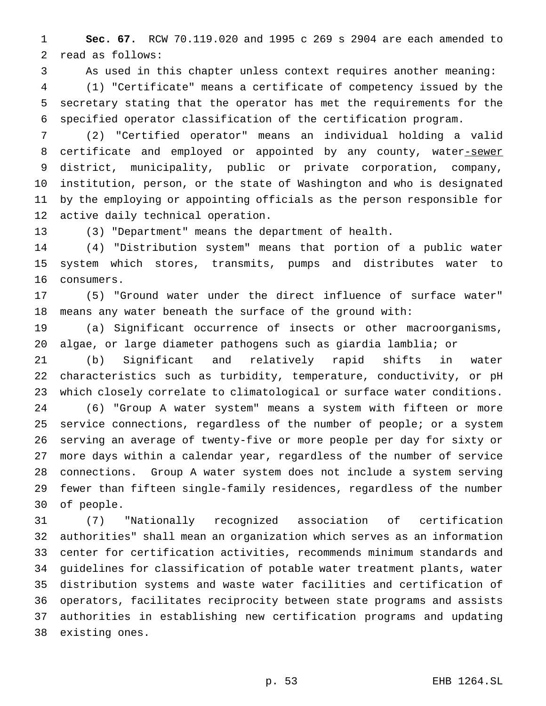**Sec. 67.** RCW 70.119.020 and 1995 c 269 s 2904 are each amended to read as follows:

As used in this chapter unless context requires another meaning:

 (1) "Certificate" means a certificate of competency issued by the secretary stating that the operator has met the requirements for the specified operator classification of the certification program.

 (2) "Certified operator" means an individual holding a valid 8 certificate and employed or appointed by any county, water-sewer district, municipality, public or private corporation, company, institution, person, or the state of Washington and who is designated by the employing or appointing officials as the person responsible for active daily technical operation.

(3) "Department" means the department of health.

 (4) "Distribution system" means that portion of a public water system which stores, transmits, pumps and distributes water to consumers.

 (5) "Ground water under the direct influence of surface water" means any water beneath the surface of the ground with:

 (a) Significant occurrence of insects or other macroorganisms, algae, or large diameter pathogens such as giardia lamblia; or

 (b) Significant and relatively rapid shifts in water characteristics such as turbidity, temperature, conductivity, or pH which closely correlate to climatological or surface water conditions. (6) "Group A water system" means a system with fifteen or more service connections, regardless of the number of people; or a system serving an average of twenty-five or more people per day for sixty or more days within a calendar year, regardless of the number of service connections. Group A water system does not include a system serving fewer than fifteen single-family residences, regardless of the number of people.

 (7) "Nationally recognized association of certification authorities" shall mean an organization which serves as an information center for certification activities, recommends minimum standards and guidelines for classification of potable water treatment plants, water distribution systems and waste water facilities and certification of operators, facilitates reciprocity between state programs and assists authorities in establishing new certification programs and updating existing ones.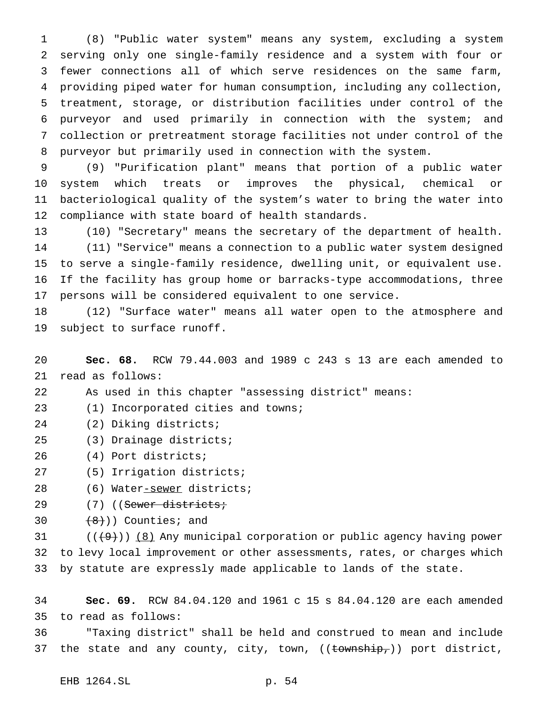(8) "Public water system" means any system, excluding a system serving only one single-family residence and a system with four or fewer connections all of which serve residences on the same farm, providing piped water for human consumption, including any collection, treatment, storage, or distribution facilities under control of the purveyor and used primarily in connection with the system; and collection or pretreatment storage facilities not under control of the purveyor but primarily used in connection with the system.

 (9) "Purification plant" means that portion of a public water system which treats or improves the physical, chemical or bacteriological quality of the system's water to bring the water into compliance with state board of health standards.

 (10) "Secretary" means the secretary of the department of health. (11) "Service" means a connection to a public water system designed to serve a single-family residence, dwelling unit, or equivalent use. If the facility has group home or barracks-type accommodations, three persons will be considered equivalent to one service.

 (12) "Surface water" means all water open to the atmosphere and subject to surface runoff.

 **Sec. 68.** RCW 79.44.003 and 1989 c 243 s 13 are each amended to read as follows:

As used in this chapter "assessing district" means:

(1) Incorporated cities and towns;

- (2) Diking districts;
- (3) Drainage districts;
- (4) Port districts;
- (5) Irrigation districts;
- 28 (6) Water-sewer districts;
- 29 (7) ((Sewer districts;
- 30  $(8)$ ) Counties; and

31  $((+9))$  (8) Any municipal corporation or public agency having power to levy local improvement or other assessments, rates, or charges which by statute are expressly made applicable to lands of the state.

 **Sec. 69.** RCW 84.04.120 and 1961 c 15 s 84.04.120 are each amended to read as follows:

 "Taxing district" shall be held and construed to mean and include 37 the state and any county, city, town, ((township,)) port district,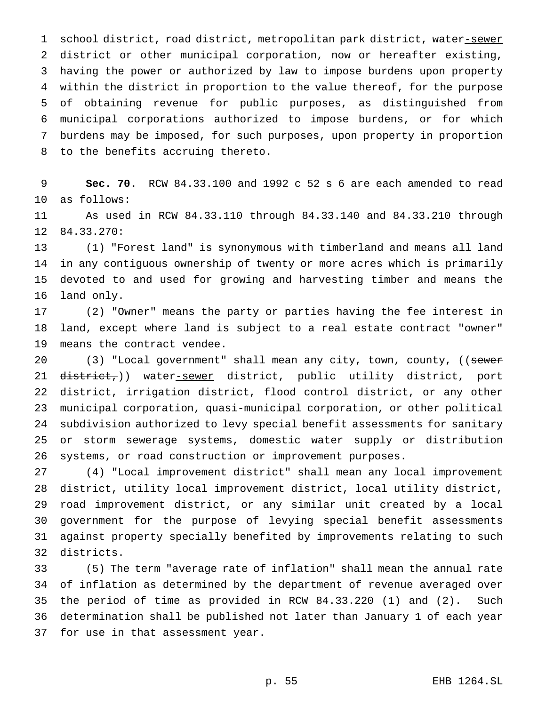1 school district, road district, metropolitan park district, water-sewer district or other municipal corporation, now or hereafter existing, having the power or authorized by law to impose burdens upon property within the district in proportion to the value thereof, for the purpose of obtaining revenue for public purposes, as distinguished from municipal corporations authorized to impose burdens, or for which burdens may be imposed, for such purposes, upon property in proportion to the benefits accruing thereto.

 **Sec. 70.** RCW 84.33.100 and 1992 c 52 s 6 are each amended to read as follows:

 As used in RCW 84.33.110 through 84.33.140 and 84.33.210 through 84.33.270:

 (1) "Forest land" is synonymous with timberland and means all land in any contiguous ownership of twenty or more acres which is primarily devoted to and used for growing and harvesting timber and means the land only.

 (2) "Owner" means the party or parties having the fee interest in land, except where land is subject to a real estate contract "owner" means the contract vendee.

20 (3) "Local government" shall mean any city, town, county, ((sewer 21 district,)) water-sewer district, public utility district, port district, irrigation district, flood control district, or any other municipal corporation, quasi-municipal corporation, or other political subdivision authorized to levy special benefit assessments for sanitary or storm sewerage systems, domestic water supply or distribution systems, or road construction or improvement purposes.

 (4) "Local improvement district" shall mean any local improvement district, utility local improvement district, local utility district, road improvement district, or any similar unit created by a local government for the purpose of levying special benefit assessments against property specially benefited by improvements relating to such districts.

 (5) The term "average rate of inflation" shall mean the annual rate of inflation as determined by the department of revenue averaged over the period of time as provided in RCW 84.33.220 (1) and (2). Such determination shall be published not later than January 1 of each year for use in that assessment year.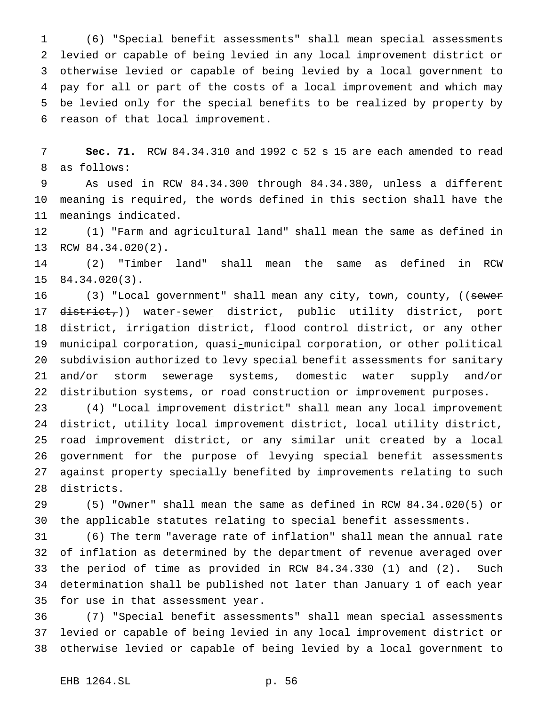(6) "Special benefit assessments" shall mean special assessments levied or capable of being levied in any local improvement district or otherwise levied or capable of being levied by a local government to pay for all or part of the costs of a local improvement and which may be levied only for the special benefits to be realized by property by reason of that local improvement.

 **Sec. 71.** RCW 84.34.310 and 1992 c 52 s 15 are each amended to read as follows:

 As used in RCW 84.34.300 through 84.34.380, unless a different meaning is required, the words defined in this section shall have the meanings indicated.

 (1) "Farm and agricultural land" shall mean the same as defined in RCW 84.34.020(2).

 (2) "Timber land" shall mean the same as defined in RCW 84.34.020(3).

16 (3) "Local government" shall mean any city, town, county, ((sewer 17 district,)) water-sewer district, public utility district, port district, irrigation district, flood control district, or any other municipal corporation, quasi-municipal corporation, or other political subdivision authorized to levy special benefit assessments for sanitary and/or storm sewerage systems, domestic water supply and/or distribution systems, or road construction or improvement purposes.

 (4) "Local improvement district" shall mean any local improvement district, utility local improvement district, local utility district, road improvement district, or any similar unit created by a local government for the purpose of levying special benefit assessments against property specially benefited by improvements relating to such districts.

 (5) "Owner" shall mean the same as defined in RCW 84.34.020(5) or the applicable statutes relating to special benefit assessments.

 (6) The term "average rate of inflation" shall mean the annual rate of inflation as determined by the department of revenue averaged over the period of time as provided in RCW 84.34.330 (1) and (2). Such determination shall be published not later than January 1 of each year for use in that assessment year.

 (7) "Special benefit assessments" shall mean special assessments levied or capable of being levied in any local improvement district or otherwise levied or capable of being levied by a local government to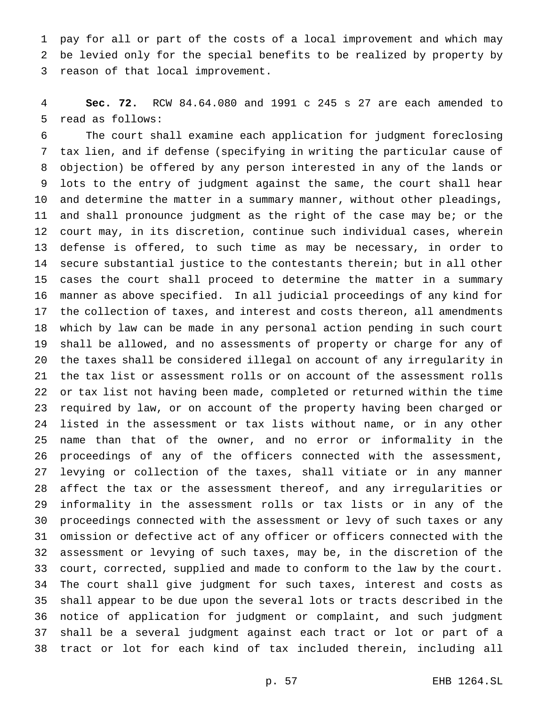pay for all or part of the costs of a local improvement and which may be levied only for the special benefits to be realized by property by reason of that local improvement.

 **Sec. 72.** RCW 84.64.080 and 1991 c 245 s 27 are each amended to read as follows:

 The court shall examine each application for judgment foreclosing tax lien, and if defense (specifying in writing the particular cause of objection) be offered by any person interested in any of the lands or lots to the entry of judgment against the same, the court shall hear and determine the matter in a summary manner, without other pleadings, and shall pronounce judgment as the right of the case may be; or the court may, in its discretion, continue such individual cases, wherein defense is offered, to such time as may be necessary, in order to secure substantial justice to the contestants therein; but in all other cases the court shall proceed to determine the matter in a summary manner as above specified. In all judicial proceedings of any kind for the collection of taxes, and interest and costs thereon, all amendments which by law can be made in any personal action pending in such court shall be allowed, and no assessments of property or charge for any of the taxes shall be considered illegal on account of any irregularity in the tax list or assessment rolls or on account of the assessment rolls or tax list not having been made, completed or returned within the time required by law, or on account of the property having been charged or listed in the assessment or tax lists without name, or in any other name than that of the owner, and no error or informality in the proceedings of any of the officers connected with the assessment, levying or collection of the taxes, shall vitiate or in any manner affect the tax or the assessment thereof, and any irregularities or informality in the assessment rolls or tax lists or in any of the proceedings connected with the assessment or levy of such taxes or any omission or defective act of any officer or officers connected with the assessment or levying of such taxes, may be, in the discretion of the court, corrected, supplied and made to conform to the law by the court. The court shall give judgment for such taxes, interest and costs as shall appear to be due upon the several lots or tracts described in the notice of application for judgment or complaint, and such judgment shall be a several judgment against each tract or lot or part of a tract or lot for each kind of tax included therein, including all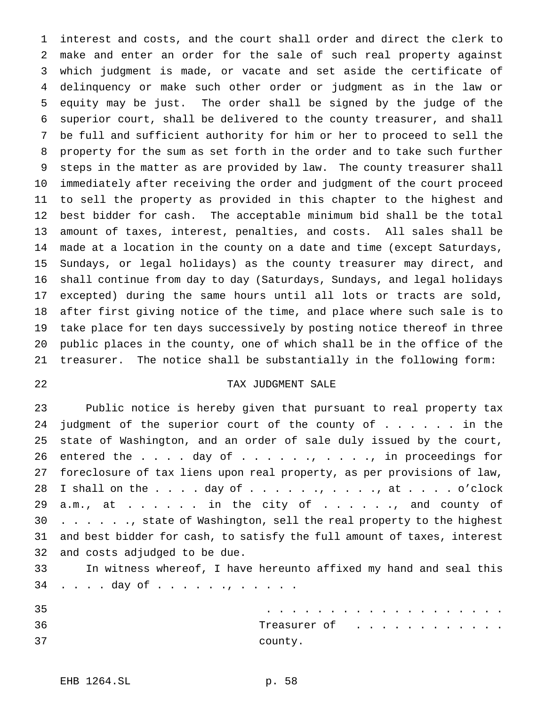interest and costs, and the court shall order and direct the clerk to make and enter an order for the sale of such real property against which judgment is made, or vacate and set aside the certificate of delinquency or make such other order or judgment as in the law or equity may be just. The order shall be signed by the judge of the superior court, shall be delivered to the county treasurer, and shall be full and sufficient authority for him or her to proceed to sell the property for the sum as set forth in the order and to take such further steps in the matter as are provided by law. The county treasurer shall immediately after receiving the order and judgment of the court proceed to sell the property as provided in this chapter to the highest and best bidder for cash. The acceptable minimum bid shall be the total amount of taxes, interest, penalties, and costs. All sales shall be made at a location in the county on a date and time (except Saturdays, Sundays, or legal holidays) as the county treasurer may direct, and shall continue from day to day (Saturdays, Sundays, and legal holidays excepted) during the same hours until all lots or tracts are sold, after first giving notice of the time, and place where such sale is to take place for ten days successively by posting notice thereof in three public places in the county, one of which shall be in the office of the treasurer. The notice shall be substantially in the following form:

# TAX JUDGMENT SALE

 Public notice is hereby given that pursuant to real property tax 24 judgment of the superior court of the county of . . . . . in the state of Washington, and an order of sale duly issued by the court, 26 entered the  $\ldots$  . day of  $\ldots$  . . . . . . . . . . in proceedings for foreclosure of tax liens upon real property, as per provisions of law, 28 I shall on the  $\ldots$  . day of  $\ldots$  . . ., . . ., at . . . . o'clock 29 a.m., at  $\dots$ .  $\dots$  in the city of  $\dots$ . . . ., and county of 30 . . . . . . , state of Washington, sell the real property to the highest and best bidder for cash, to satisfy the full amount of taxes, interest and costs adjudged to be due.

 In witness whereof, I have hereunto affixed my hand and seal this 34 . . . . day of . . . . . . , . . . . .

| 35 | .            |
|----|--------------|
| 36 | Treasurer of |
| 37 | county.      |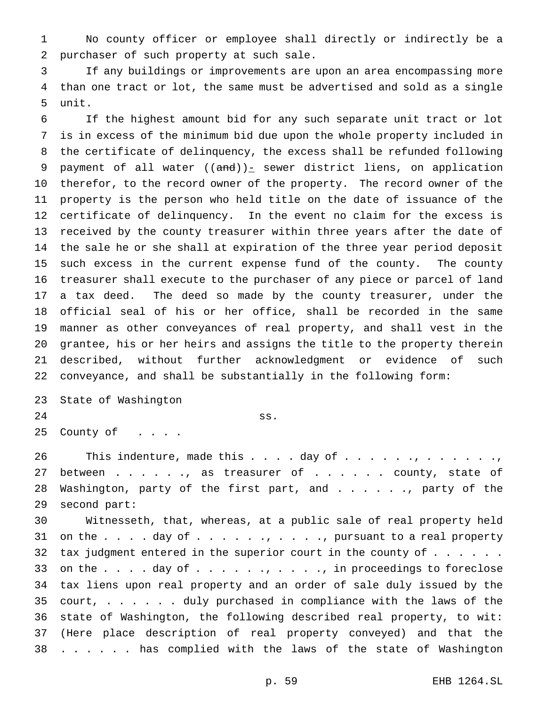No county officer or employee shall directly or indirectly be a purchaser of such property at such sale.

 If any buildings or improvements are upon an area encompassing more than one tract or lot, the same must be advertised and sold as a single unit.

 If the highest amount bid for any such separate unit tract or lot is in excess of the minimum bid due upon the whole property included in the certificate of delinquency, the excess shall be refunded following 9 payment of all water  $((and))_{-}$  sewer district liens, on application therefor, to the record owner of the property. The record owner of the property is the person who held title on the date of issuance of the certificate of delinquency. In the event no claim for the excess is received by the county treasurer within three years after the date of the sale he or she shall at expiration of the three year period deposit such excess in the current expense fund of the county. The county treasurer shall execute to the purchaser of any piece or parcel of land a tax deed. The deed so made by the county treasurer, under the official seal of his or her office, shall be recorded in the same manner as other conveyances of real property, and shall vest in the grantee, his or her heirs and assigns the title to the property therein described, without further acknowledgment or evidence of such conveyance, and shall be substantially in the following form:

 State of Washington ss. 25 County of . . . .

26 This indenture, made this . . . . day of . . . . . , . . . . . . . . . . . . . 27 between . . . . . , as treasurer of . . . . . . county, state of 28 Washington, party of the first part, and . . . . . . party of the second part:

 Witnesseth, that, whereas, at a public sale of real property held 31 on the  $\ldots$  . day of  $\ldots$  . . . . . . . . . , pursuant to a real property 32 tax judgment entered in the superior court in the county of  $\dots$ ... 33 on the  $\ldots$  . day of  $\ldots$  . . . ., . . ., in proceedings to foreclose tax liens upon real property and an order of sale duly issued by the court, ...... duly purchased in compliance with the laws of the state of Washington, the following described real property, to wit: (Here place description of real property conveyed) and that the . . . . . . has complied with the laws of the state of Washington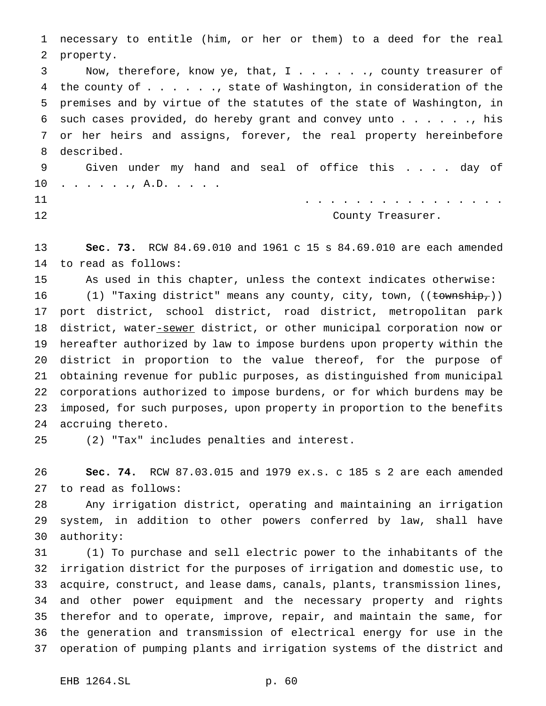necessary to entitle (him, or her or them) to a deed for the real property. Now, therefore, know ye, that, I . . . . . ., county treasurer of the county of . . . . . ., state of Washington, in consideration of the premises and by virtue of the statutes of the state of Washington, in 6 such cases provided, do hereby grant and convey unto  $\ldots$  . . . ., his or her heirs and assigns, forever, the real property hereinbefore described. Given under my hand and seal of office this . . . . day of . . . . . ., A.D. . . . . ................ County Treasurer.

 **Sec. 73.** RCW 84.69.010 and 1961 c 15 s 84.69.010 are each amended to read as follows:

As used in this chapter, unless the context indicates otherwise:

16 (1) "Taxing district" means any county, city, town, ((township,)) port district, school district, road district, metropolitan park 18 district, water-sewer district, or other municipal corporation now or hereafter authorized by law to impose burdens upon property within the district in proportion to the value thereof, for the purpose of obtaining revenue for public purposes, as distinguished from municipal corporations authorized to impose burdens, or for which burdens may be imposed, for such purposes, upon property in proportion to the benefits accruing thereto.

(2) "Tax" includes penalties and interest.

 **Sec. 74.** RCW 87.03.015 and 1979 ex.s. c 185 s 2 are each amended to read as follows:

 Any irrigation district, operating and maintaining an irrigation system, in addition to other powers conferred by law, shall have authority:

 (1) To purchase and sell electric power to the inhabitants of the irrigation district for the purposes of irrigation and domestic use, to acquire, construct, and lease dams, canals, plants, transmission lines, and other power equipment and the necessary property and rights therefor and to operate, improve, repair, and maintain the same, for the generation and transmission of electrical energy for use in the operation of pumping plants and irrigation systems of the district and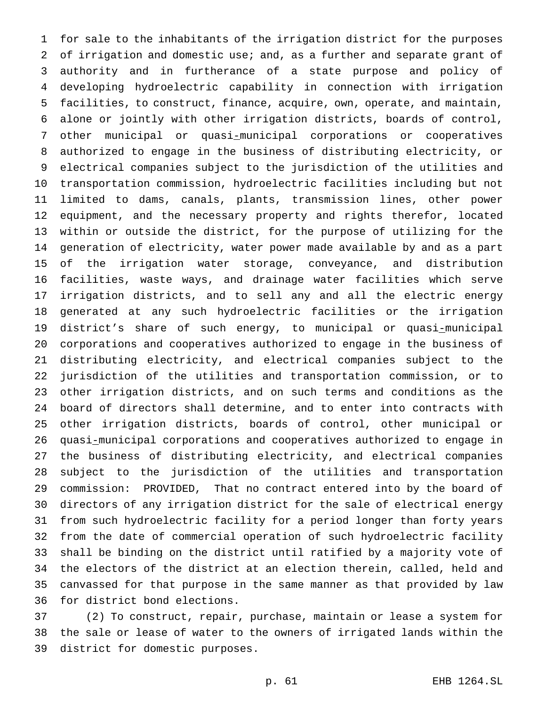for sale to the inhabitants of the irrigation district for the purposes of irrigation and domestic use; and, as a further and separate grant of authority and in furtherance of a state purpose and policy of developing hydroelectric capability in connection with irrigation facilities, to construct, finance, acquire, own, operate, and maintain, alone or jointly with other irrigation districts, boards of control, other municipal or quasi-municipal corporations or cooperatives authorized to engage in the business of distributing electricity, or electrical companies subject to the jurisdiction of the utilities and transportation commission, hydroelectric facilities including but not limited to dams, canals, plants, transmission lines, other power equipment, and the necessary property and rights therefor, located within or outside the district, for the purpose of utilizing for the generation of electricity, water power made available by and as a part of the irrigation water storage, conveyance, and distribution facilities, waste ways, and drainage water facilities which serve irrigation districts, and to sell any and all the electric energy generated at any such hydroelectric facilities or the irrigation district's share of such energy, to municipal or quasi-municipal corporations and cooperatives authorized to engage in the business of distributing electricity, and electrical companies subject to the jurisdiction of the utilities and transportation commission, or to other irrigation districts, and on such terms and conditions as the board of directors shall determine, and to enter into contracts with other irrigation districts, boards of control, other municipal or quasi-municipal corporations and cooperatives authorized to engage in the business of distributing electricity, and electrical companies subject to the jurisdiction of the utilities and transportation commission: PROVIDED, That no contract entered into by the board of directors of any irrigation district for the sale of electrical energy from such hydroelectric facility for a period longer than forty years from the date of commercial operation of such hydroelectric facility shall be binding on the district until ratified by a majority vote of the electors of the district at an election therein, called, held and canvassed for that purpose in the same manner as that provided by law for district bond elections.

 (2) To construct, repair, purchase, maintain or lease a system for the sale or lease of water to the owners of irrigated lands within the district for domestic purposes.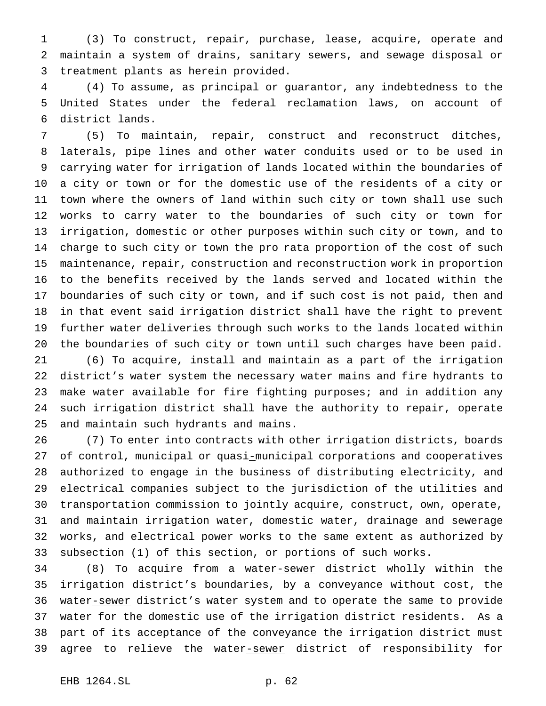(3) To construct, repair, purchase, lease, acquire, operate and maintain a system of drains, sanitary sewers, and sewage disposal or treatment plants as herein provided.

 (4) To assume, as principal or guarantor, any indebtedness to the United States under the federal reclamation laws, on account of district lands.

 (5) To maintain, repair, construct and reconstruct ditches, laterals, pipe lines and other water conduits used or to be used in carrying water for irrigation of lands located within the boundaries of a city or town or for the domestic use of the residents of a city or town where the owners of land within such city or town shall use such works to carry water to the boundaries of such city or town for irrigation, domestic or other purposes within such city or town, and to charge to such city or town the pro rata proportion of the cost of such maintenance, repair, construction and reconstruction work in proportion to the benefits received by the lands served and located within the boundaries of such city or town, and if such cost is not paid, then and in that event said irrigation district shall have the right to prevent further water deliveries through such works to the lands located within the boundaries of such city or town until such charges have been paid.

 (6) To acquire, install and maintain as a part of the irrigation district's water system the necessary water mains and fire hydrants to make water available for fire fighting purposes; and in addition any such irrigation district shall have the authority to repair, operate and maintain such hydrants and mains.

 (7) To enter into contracts with other irrigation districts, boards of control, municipal or quasi-municipal corporations and cooperatives authorized to engage in the business of distributing electricity, and electrical companies subject to the jurisdiction of the utilities and transportation commission to jointly acquire, construct, own, operate, and maintain irrigation water, domestic water, drainage and sewerage works, and electrical power works to the same extent as authorized by subsection (1) of this section, or portions of such works.

34 (8) To acquire from a water-sewer district wholly within the irrigation district's boundaries, by a conveyance without cost, the 36 water-sewer district's water system and to operate the same to provide water for the domestic use of the irrigation district residents. As a part of its acceptance of the conveyance the irrigation district must 39 agree to relieve the water-sewer district of responsibility for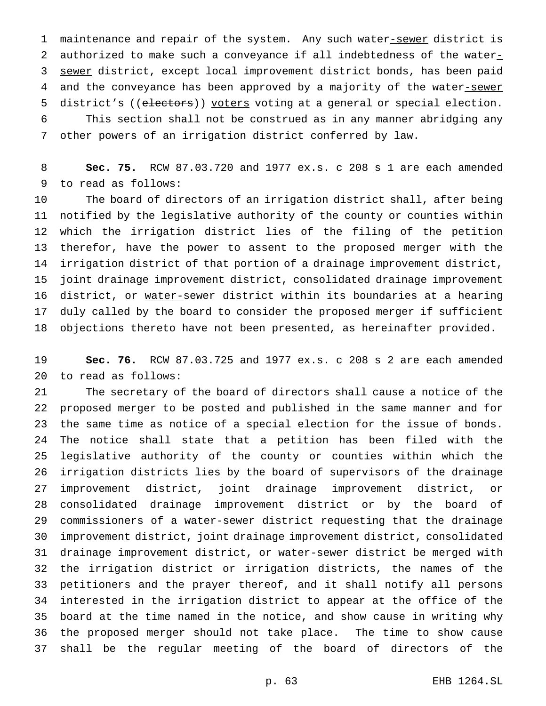1 maintenance and repair of the system. Any such water-sewer district is 2 authorized to make such a conveyance if all indebtedness of the water $<sub>-</sub>$ </sub> 3 sewer district, except local improvement district bonds, has been paid 4 and the conveyance has been approved by a majority of the water-sewer 5 district's ((electors)) voters voting at a general or special election. This section shall not be construed as in any manner abridging any other powers of an irrigation district conferred by law.

 **Sec. 75.** RCW 87.03.720 and 1977 ex.s. c 208 s 1 are each amended to read as follows:

 The board of directors of an irrigation district shall, after being notified by the legislative authority of the county or counties within which the irrigation district lies of the filing of the petition therefor, have the power to assent to the proposed merger with the irrigation district of that portion of a drainage improvement district, joint drainage improvement district, consolidated drainage improvement 16 district, or water-sewer district within its boundaries at a hearing duly called by the board to consider the proposed merger if sufficient objections thereto have not been presented, as hereinafter provided.

 **Sec. 76.** RCW 87.03.725 and 1977 ex.s. c 208 s 2 are each amended to read as follows:

 The secretary of the board of directors shall cause a notice of the proposed merger to be posted and published in the same manner and for the same time as notice of a special election for the issue of bonds. The notice shall state that a petition has been filed with the legislative authority of the county or counties within which the irrigation districts lies by the board of supervisors of the drainage improvement district, joint drainage improvement district, or consolidated drainage improvement district or by the board of 29 commissioners of a water-sewer district requesting that the drainage improvement district, joint drainage improvement district, consolidated 31 drainage improvement district, or water-sewer district be merged with the irrigation district or irrigation districts, the names of the petitioners and the prayer thereof, and it shall notify all persons interested in the irrigation district to appear at the office of the board at the time named in the notice, and show cause in writing why the proposed merger should not take place. The time to show cause shall be the regular meeting of the board of directors of the